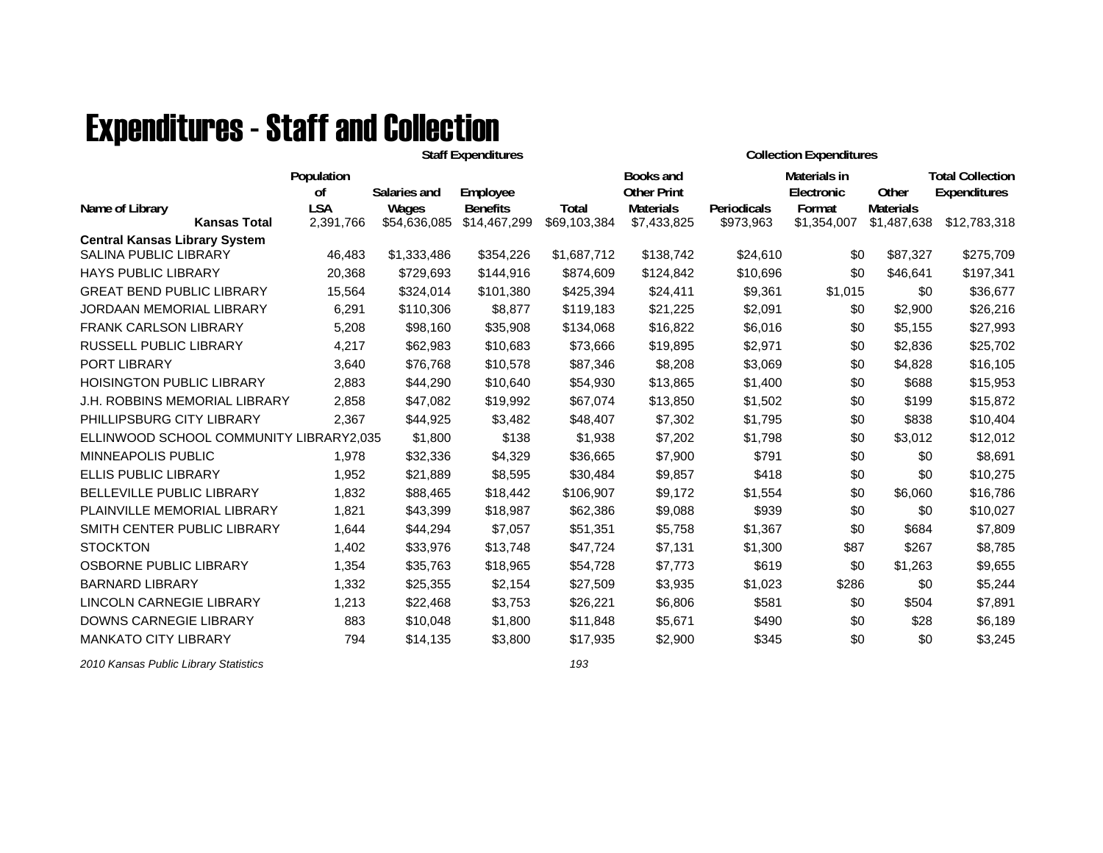## **Expenditures - Staff and Collection**

|                                                                      |                                |                       | <b>Staff Expenditures</b>   |              | <b>Collection Expenditures</b>                             |             |                                      |                           |                                         |
|----------------------------------------------------------------------|--------------------------------|-----------------------|-----------------------------|--------------|------------------------------------------------------------|-------------|--------------------------------------|---------------------------|-----------------------------------------|
| Name of Library                                                      | Population<br>0f<br><b>LSA</b> | Salaries and<br>Wages | Employee<br><b>Benefits</b> | <b>Total</b> | <b>Books and</b><br><b>Other Print</b><br><b>Materials</b> | Periodicals | Materials in<br>Electronic<br>Format | Other<br><b>Materials</b> | <b>Total Collection</b><br>Expenditures |
| <b>Kansas Total</b>                                                  | 2,391,766                      | \$54,636,085          | \$14,467,299                | \$69,103,384 | \$7,433,825                                                | \$973,963   | \$1,354,007                          | \$1,487,638               | \$12,783,318                            |
| <b>Central Kansas Library System</b><br><b>SALINA PUBLIC LIBRARY</b> | 46,483                         | \$1,333,486           | \$354,226                   | \$1,687,712  | \$138,742                                                  | \$24,610    | \$0                                  | \$87,327                  | \$275,709                               |
| <b>HAYS PUBLIC LIBRARY</b>                                           | 20,368                         | \$729,693             | \$144,916                   | \$874,609    | \$124,842                                                  | \$10,696    | \$0                                  | \$46,641                  | \$197,341                               |
| <b>GREAT BEND PUBLIC LIBRARY</b>                                     | 15,564                         | \$324,014             | \$101,380                   | \$425,394    | \$24,411                                                   | \$9,361     | \$1,015                              | \$0                       | \$36,677                                |
| JORDAAN MEMORIAL LIBRARY                                             | 6,291                          | \$110,306             | \$8,877                     | \$119,183    | \$21,225                                                   | \$2,091     | \$0                                  | \$2,900                   | \$26,216                                |
| <b>FRANK CARLSON LIBRARY</b>                                         | 5,208                          | \$98,160              | \$35,908                    | \$134,068    | \$16,822                                                   | \$6,016     | \$0                                  | \$5,155                   | \$27,993                                |
| <b>RUSSELL PUBLIC LIBRARY</b>                                        | 4,217                          | \$62,983              | \$10,683                    | \$73,666     | \$19,895                                                   | \$2,971     | \$0                                  | \$2,836                   | \$25,702                                |
| <b>PORT LIBRARY</b>                                                  | 3,640                          | \$76,768              | \$10,578                    | \$87,346     | \$8,208                                                    | \$3,069     | \$0                                  | \$4,828                   | \$16,105                                |
| <b>HOISINGTON PUBLIC LIBRARY</b>                                     | 2,883                          | \$44,290              | \$10,640                    | \$54,930     | \$13,865                                                   | \$1,400     | \$0                                  | \$688                     | \$15,953                                |
| J.H. ROBBINS MEMORIAL LIBRARY                                        | 2,858                          | \$47,082              | \$19,992                    | \$67,074     | \$13,850                                                   | \$1,502     | \$0                                  | \$199                     | \$15,872                                |
| PHILLIPSBURG CITY LIBRARY                                            | 2,367                          | \$44,925              | \$3,482                     | \$48,407     | \$7,302                                                    | \$1,795     | \$0                                  | \$838                     | \$10,404                                |
| ELLINWOOD SCHOOL COMMUNITY LIBRARY2,035                              |                                | \$1,800               | \$138                       | \$1,938      | \$7,202                                                    | \$1,798     | \$0                                  | \$3,012                   | \$12,012                                |
| <b>MINNEAPOLIS PUBLIC</b>                                            | 1,978                          | \$32,336              | \$4,329                     | \$36,665     | \$7,900                                                    | \$791       | \$0                                  | \$0                       | \$8,691                                 |
| <b>ELLIS PUBLIC LIBRARY</b>                                          | 1.952                          | \$21,889              | \$8,595                     | \$30,484     | \$9,857                                                    | \$418       | \$0                                  | \$0                       | \$10,275                                |
| <b>BELLEVILLE PUBLIC LIBRARY</b>                                     | 1.832                          | \$88,465              | \$18,442                    | \$106,907    | \$9,172                                                    | \$1,554     | \$0                                  | \$6,060                   | \$16,786                                |
| PLAINVILLE MEMORIAL LIBRARY                                          | 1,821                          | \$43,399              | \$18,987                    | \$62,386     | \$9,088                                                    | \$939       | \$0                                  | \$0                       | \$10,027                                |
| SMITH CENTER PUBLIC LIBRARY                                          | 1,644                          | \$44,294              | \$7,057                     | \$51,351     | \$5,758                                                    | \$1,367     | \$0                                  | \$684                     | \$7,809                                 |
| <b>STOCKTON</b>                                                      | 1,402                          | \$33,976              | \$13,748                    | \$47,724     | \$7,131                                                    | \$1,300     | \$87                                 | \$267                     | \$8,785                                 |
| OSBORNE PUBLIC LIBRARY                                               | 1,354                          | \$35,763              | \$18,965                    | \$54,728     | \$7,773                                                    | \$619       | \$0                                  | \$1,263                   | \$9,655                                 |
| <b>BARNARD LIBRARY</b>                                               | 1,332                          | \$25,355              | \$2,154                     | \$27,509     | \$3,935                                                    | \$1,023     | \$286                                | \$0                       | \$5,244                                 |
| <b>LINCOLN CARNEGIE LIBRARY</b>                                      | 1,213                          | \$22,468              | \$3,753                     | \$26,221     | \$6,806                                                    | \$581       | \$0                                  | \$504                     | \$7,891                                 |
| DOWNS CARNEGIE LIBRARY                                               | 883                            | \$10,048              | \$1,800                     | \$11,848     | \$5,671                                                    | \$490       | \$0                                  | \$28                      | \$6,189                                 |
| <b>MANKATO CITY LIBRARY</b>                                          | 794                            | \$14,135              | \$3,800                     | \$17,935     | \$2,900                                                    | \$345       | \$0                                  | \$0                       | \$3,245                                 |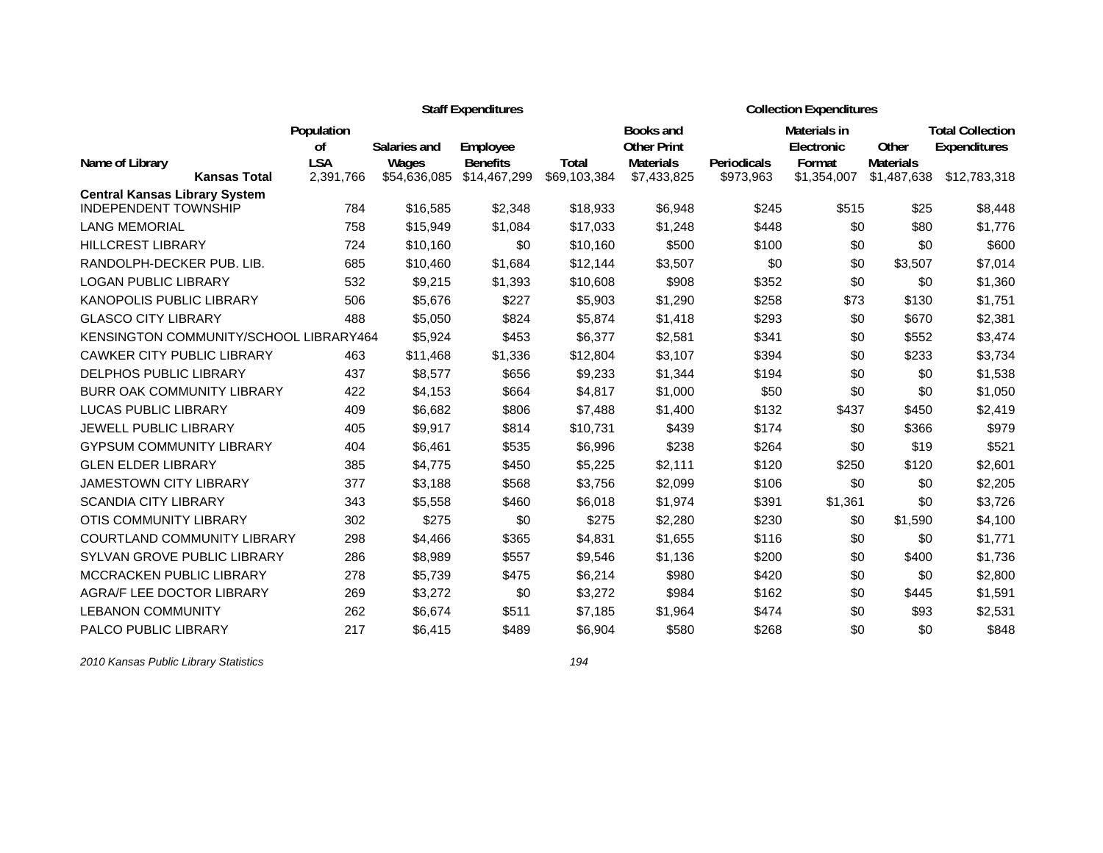|                                                                     |                             |              | <b>Staff Expenditures</b> |              | <b>Collection Expenditures</b>  |                    |                            |                  |                                         |  |
|---------------------------------------------------------------------|-----------------------------|--------------|---------------------------|--------------|---------------------------------|--------------------|----------------------------|------------------|-----------------------------------------|--|
|                                                                     | Population<br><sub>of</sub> | Salaries and | Employee                  |              | Books and<br><b>Other Print</b> |                    | Materials in<br>Electronic | Other            | <b>Total Collection</b><br>Expenditures |  |
| Name of Library                                                     | <b>LSA</b>                  | Wages        | <b>Benefits</b>           | Total        | <b>Materials</b>                | <b>Periodicals</b> | Format                     | <b>Materials</b> |                                         |  |
| <b>Kansas Total</b>                                                 | 2,391,766                   | \$54,636,085 | \$14,467,299              | \$69,103,384 | \$7,433,825                     | \$973,963          | \$1,354,007                | \$1,487,638      | \$12,783,318                            |  |
| <b>Central Kansas Library System</b><br><b>INDEPENDENT TOWNSHIP</b> | 784                         | \$16,585     | \$2,348                   | \$18,933     | \$6,948                         | \$245              | \$515                      | \$25             | \$8,448                                 |  |
| <b>LANG MEMORIAL</b>                                                | 758                         | \$15,949     | \$1,084                   | \$17,033     | \$1,248                         | \$448              | \$0                        | \$80             | \$1,776                                 |  |
| <b>HILLCREST LIBRARY</b>                                            | 724                         | \$10,160     | \$0                       | \$10,160     | \$500                           | \$100              | \$0                        | \$0              | \$600                                   |  |
| RANDOLPH-DECKER PUB. LIB.                                           | 685                         | \$10,460     | \$1,684                   | \$12,144     | \$3,507                         | \$0                | \$0                        | \$3,507          | \$7,014                                 |  |
| <b>LOGAN PUBLIC LIBRARY</b>                                         | 532                         | \$9,215      | \$1,393                   | \$10,608     | \$908                           | \$352              | \$0                        | \$0              | \$1,360                                 |  |
| KANOPOLIS PUBLIC LIBRARY                                            | 506                         | \$5,676      | \$227                     | \$5,903      | \$1,290                         | \$258              | \$73                       | \$130            | \$1,751                                 |  |
| <b>GLASCO CITY LIBRARY</b>                                          | 488                         | \$5,050      | \$824                     | \$5,874      | \$1,418                         | \$293              | \$0                        | \$670            | \$2,381                                 |  |
| KENSINGTON COMMUNITY/SCHOOL LIBRARY464                              |                             | \$5,924      | \$453                     | \$6,377      | \$2,581                         | \$341              | \$0                        | \$552            | \$3,474                                 |  |
| <b>CAWKER CITY PUBLIC LIBRARY</b>                                   | 463                         | \$11,468     | \$1,336                   | \$12,804     | \$3,107                         | \$394              | \$0                        | \$233            | \$3,734                                 |  |
| <b>DELPHOS PUBLIC LIBRARY</b>                                       | 437                         | \$8,577      | \$656                     | \$9,233      | \$1,344                         | \$194              | \$0                        | \$0              | \$1,538                                 |  |
| <b>BURR OAK COMMUNITY LIBRARY</b>                                   | 422                         | \$4,153      | \$664                     | \$4,817      | \$1,000                         | \$50               | \$0                        | \$0              | \$1,050                                 |  |
| <b>LUCAS PUBLIC LIBRARY</b>                                         | 409                         | \$6,682      | \$806                     | \$7,488      | \$1,400                         | \$132              | \$437                      | \$450            | \$2,419                                 |  |
| JEWELL PUBLIC LIBRARY                                               | 405                         | \$9,917      | \$814                     | \$10,731     | \$439                           | \$174              | \$0                        | \$366            | \$979                                   |  |
| <b>GYPSUM COMMUNITY LIBRARY</b>                                     | 404                         | \$6,461      | \$535                     | \$6,996      | \$238                           | \$264              | \$0                        | \$19             | \$521                                   |  |
| <b>GLEN ELDER LIBRARY</b>                                           | 385                         | \$4,775      | \$450                     | \$5,225      | \$2,111                         | \$120              | \$250                      | \$120            | \$2,601                                 |  |
| <b>JAMESTOWN CITY LIBRARY</b>                                       | 377                         | \$3,188      | \$568                     | \$3,756      | \$2,099                         | \$106              | \$0                        | \$0              | \$2,205                                 |  |
| <b>SCANDIA CITY LIBRARY</b>                                         | 343                         | \$5,558      | \$460                     | \$6,018      | \$1,974                         | \$391              | \$1,361                    | \$0              | \$3,726                                 |  |
| <b>OTIS COMMUNITY LIBRARY</b>                                       | 302                         | \$275        | \$0                       | \$275        | \$2,280                         | \$230              | \$0                        | \$1,590          | \$4,100                                 |  |
| <b>COURTLAND COMMUNITY LIBRARY</b>                                  | 298                         | \$4,466      | \$365                     | \$4,831      | \$1,655                         | \$116              | \$0                        | \$0              | \$1,771                                 |  |
| SYLVAN GROVE PUBLIC LIBRARY                                         | 286                         | \$8,989      | \$557                     | \$9,546      | \$1,136                         | \$200              | \$0                        | \$400            | \$1,736                                 |  |
| <b>MCCRACKEN PUBLIC LIBRARY</b>                                     | 278                         | \$5,739      | \$475                     | \$6,214      | \$980                           | \$420              | \$0                        | \$0              | \$2,800                                 |  |
| AGRA/F LEE DOCTOR LIBRARY                                           | 269                         | \$3,272      | \$0                       | \$3,272      | \$984                           | \$162              | \$0                        | \$445            | \$1,591                                 |  |
| <b>LEBANON COMMUNITY</b>                                            | 262                         | \$6,674      | \$511                     | \$7,185      | \$1,964                         | \$474              | \$0                        | \$93             | \$2,531                                 |  |
| <b>PALCO PUBLIC LIBRARY</b>                                         | 217                         | \$6,415      | \$489                     | \$6,904      | \$580                           | \$268              | \$0                        | \$0              | \$848                                   |  |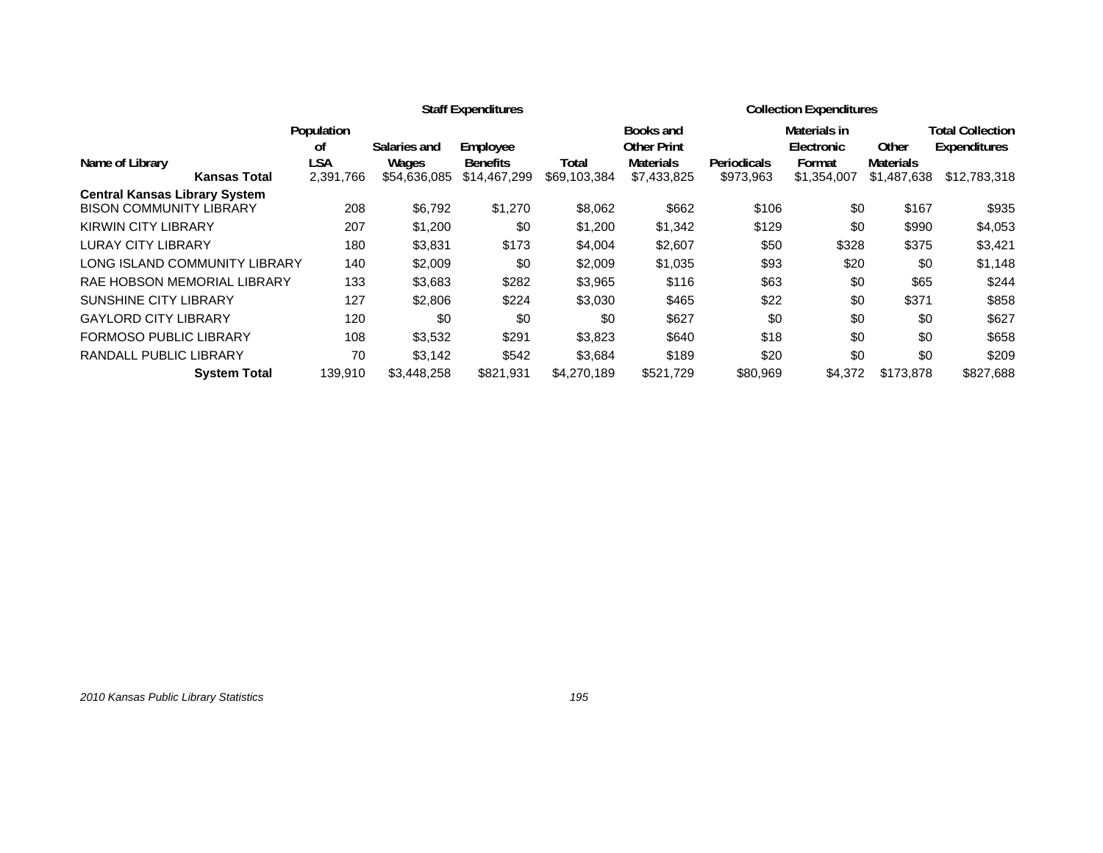|                                      |                  |              | <b>Staff Expenditures</b> |              | <b>Collection Expenditures</b>  |             |                                   |                  |                                                |
|--------------------------------------|------------------|--------------|---------------------------|--------------|---------------------------------|-------------|-----------------------------------|------------------|------------------------------------------------|
|                                      | Population<br>οf | Salaries and | Employee                  |              | Books and<br><b>Other Print</b> |             | <b>Materials in</b><br>Electronic | Other            | <b>Total Collection</b><br><b>Expenditures</b> |
| Name of Library                      | LSA              | Wages        | <b>Benefits</b>           | Total        | <b>Materials</b>                | Periodicals | Format                            | <b>Materials</b> |                                                |
| <b>Kansas Total</b>                  | 2,391,766        | \$54,636,085 | \$14,467,299              | \$69,103,384 | \$7,433,825                     | \$973,963   | \$1,354,007                       | \$1,487,638      | \$12,783,318                                   |
| <b>Central Kansas Library System</b> |                  |              |                           |              |                                 |             |                                   |                  |                                                |
| <b>BISON COMMUNITY LIBRARY</b>       | 208              | \$6,792      | \$1,270                   | \$8,062      | \$662                           | \$106       | \$0                               | \$167            | \$935                                          |
| <b>KIRWIN CITY LIBRARY</b>           | 207              | \$1,200      | \$0                       | \$1,200      | \$1,342                         | \$129       | \$0                               | \$990            | \$4,053                                        |
| <b>LURAY CITY LIBRARY</b>            | 180              | \$3,831      | \$173                     | \$4,004      | \$2,607                         | \$50        | \$328                             | \$375            | \$3,421                                        |
| LONG ISLAND COMMUNITY LIBRARY        | 140              | \$2,009      | \$0                       | \$2,009      | \$1,035                         | \$93        | \$20                              | \$0              | \$1,148                                        |
| RAE HOBSON MEMORIAL LIBRARY          | 133              | \$3,683      | \$282                     | \$3,965      | \$116                           | \$63        | \$0                               | \$65             | \$244                                          |
| <b>SUNSHINE CITY LIBRARY</b>         | 127              | \$2,806      | \$224                     | \$3,030      | \$465                           | \$22        | \$0                               | \$371            | \$858                                          |
| <b>GAYLORD CITY LIBRARY</b>          | 120              | \$0          | \$0                       | \$0          | \$627                           | \$0         | \$0                               | \$0              | \$627                                          |
| <b>FORMOSO PUBLIC LIBRARY</b>        | 108              | \$3,532      | \$291                     | \$3,823      | \$640                           | \$18        | \$0                               | \$0              | \$658                                          |
| <b>RANDALL PUBLIC LIBRARY</b>        | 70               | \$3.142      | \$542                     | \$3,684      | \$189                           | \$20        | \$0                               | \$0              | \$209                                          |
| <b>System Total</b>                  | 139,910          | \$3,448,258  | \$821,931                 | \$4,270,189  | \$521,729                       | \$80,969    | \$4,372                           | \$173,878        | \$827,688                                      |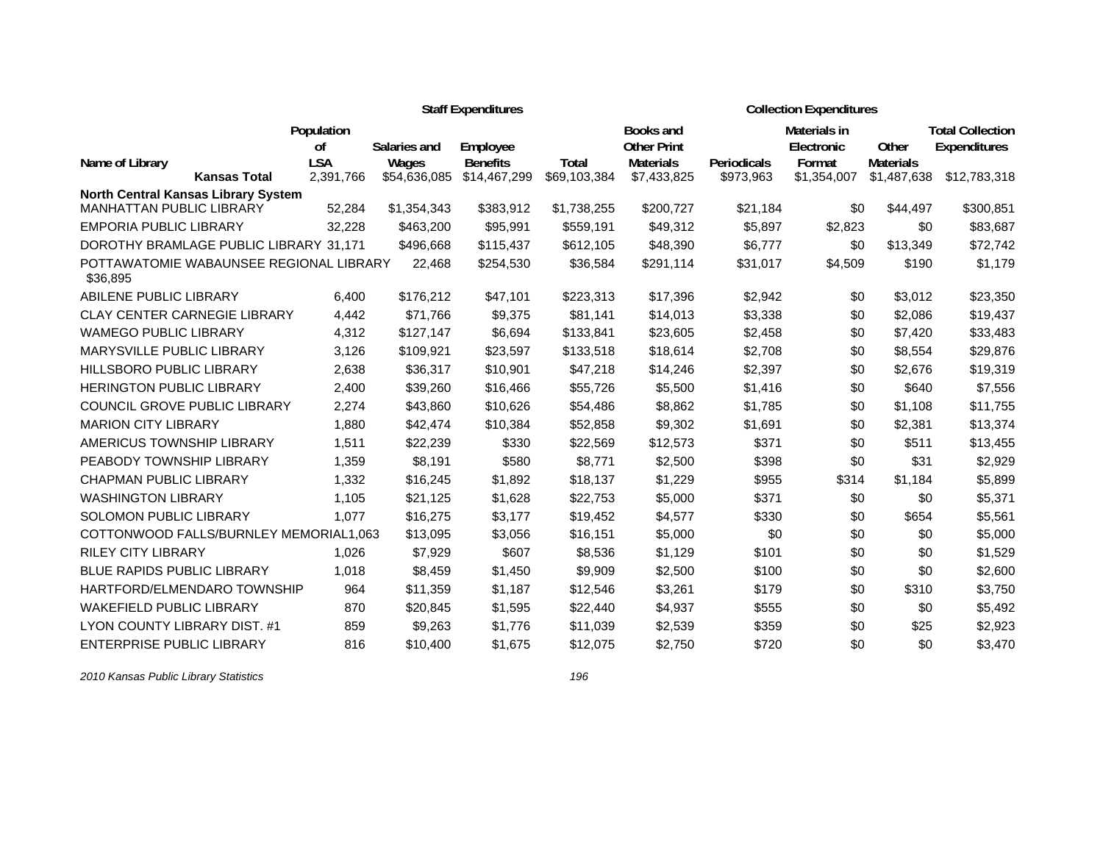|                                                     |                         |                       | <b>Staff Expenditures</b>       |                              | <b>Collection Expenditures</b>  |                          |                            |                                 |                                         |  |
|-----------------------------------------------------|-------------------------|-----------------------|---------------------------------|------------------------------|---------------------------------|--------------------------|----------------------------|---------------------------------|-----------------------------------------|--|
|                                                     | Population<br>οf        | Salaries and          | Employee                        |                              | Books and<br><b>Other Print</b> |                          | Materials in<br>Electronic | Other                           | <b>Total Collection</b><br>Expenditures |  |
| Name of Library<br><b>Kansas Total</b>              | <b>LSA</b><br>2,391,766 | Wages<br>\$54,636,085 | <b>Benefits</b><br>\$14,467,299 | <b>Total</b><br>\$69,103,384 | <b>Materials</b><br>\$7,433,825 | Periodicals<br>\$973,963 | Format<br>\$1,354,007      | <b>Materials</b><br>\$1,487,638 | \$12,783,318                            |  |
| <b>North Central Kansas Library System</b>          |                         |                       |                                 |                              |                                 |                          |                            |                                 |                                         |  |
| MANHATTAN PUBLIC LIBRARY                            | 52,284                  | \$1,354,343           | \$383,912                       | \$1,738,255                  | \$200,727                       | \$21,184                 | \$0                        | \$44,497                        | \$300,851                               |  |
| <b>EMPORIA PUBLIC LIBRARY</b>                       | 32,228                  | \$463,200             | \$95,991                        | \$559,191                    | \$49,312                        | \$5,897                  | \$2,823                    | \$0                             | \$83,687                                |  |
| DOROTHY BRAMLAGE PUBLIC LIBRARY 31,171              |                         | \$496,668             | \$115,437                       | \$612,105                    | \$48,390                        | \$6,777                  | \$0                        | \$13,349                        | \$72,742                                |  |
| POTTAWATOMIE WABAUNSEE REGIONAL LIBRARY<br>\$36,895 |                         | 22,468                | \$254,530                       | \$36,584                     | \$291,114                       | \$31,017                 | \$4,509                    | \$190                           | \$1,179                                 |  |
| ABILENE PUBLIC LIBRARY                              | 6,400                   | \$176,212             | \$47,101                        | \$223,313                    | \$17,396                        | \$2,942                  | \$0                        | \$3,012                         | \$23,350                                |  |
| <b>CLAY CENTER CARNEGIE LIBRARY</b>                 | 4,442                   | \$71,766              | \$9,375                         | \$81,141                     | \$14,013                        | \$3,338                  | \$0                        | \$2,086                         | \$19,437                                |  |
| <b>WAMEGO PUBLIC LIBRARY</b>                        | 4,312                   | \$127,147             | \$6,694                         | \$133,841                    | \$23,605                        | \$2,458                  | \$0                        | \$7,420                         | \$33,483                                |  |
| <b>MARYSVILLE PUBLIC LIBRARY</b>                    | 3,126                   | \$109,921             | \$23,597                        | \$133,518                    | \$18,614                        | \$2,708                  | \$0                        | \$8,554                         | \$29,876                                |  |
| <b>HILLSBORO PUBLIC LIBRARY</b>                     | 2,638                   | \$36,317              | \$10,901                        | \$47,218                     | \$14,246                        | \$2,397                  | \$0                        | \$2,676                         | \$19,319                                |  |
| <b>HERINGTON PUBLIC LIBRARY</b>                     | 2,400                   | \$39,260              | \$16,466                        | \$55,726                     | \$5,500                         | \$1,416                  | \$0                        | \$640                           | \$7,556                                 |  |
| COUNCIL GROVE PUBLIC LIBRARY                        | 2,274                   | \$43,860              | \$10,626                        | \$54,486                     | \$8,862                         | \$1,785                  | \$0                        | \$1,108                         | \$11,755                                |  |
| <b>MARION CITY LIBRARY</b>                          | 1,880                   | \$42,474              | \$10,384                        | \$52,858                     | \$9,302                         | \$1,691                  | \$0                        | \$2,381                         | \$13,374                                |  |
| AMERICUS TOWNSHIP LIBRARY                           | 1,511                   | \$22,239              | \$330                           | \$22,569                     | \$12,573                        | \$371                    | \$0                        | \$511                           | \$13,455                                |  |
| PEABODY TOWNSHIP LIBRARY                            | 1,359                   | \$8,191               | \$580                           | \$8,771                      | \$2,500                         | \$398                    | \$0                        | \$31                            | \$2,929                                 |  |
| <b>CHAPMAN PUBLIC LIBRARY</b>                       | 1,332                   | \$16,245              | \$1,892                         | \$18,137                     | \$1,229                         | \$955                    | \$314                      | \$1,184                         | \$5,899                                 |  |
| <b>WASHINGTON LIBRARY</b>                           | 1.105                   | \$21,125              | \$1,628                         | \$22,753                     | \$5,000                         | \$371                    | \$0                        | \$0                             | \$5,371                                 |  |
| SOLOMON PUBLIC LIBRARY                              | 1,077                   | \$16,275              | \$3,177                         | \$19,452                     | \$4,577                         | \$330                    | \$0                        | \$654                           | \$5,561                                 |  |
| COTTONWOOD FALLS/BURNLEY MEMORIAL1,063              |                         | \$13,095              | \$3,056                         | \$16,151                     | \$5,000                         | \$0                      | \$0                        | \$0                             | \$5,000                                 |  |
| <b>RILEY CITY LIBRARY</b>                           | 1,026                   | \$7,929               | \$607                           | \$8,536                      | \$1,129                         | \$101                    | \$0                        | \$0                             | \$1,529                                 |  |
| <b>BLUE RAPIDS PUBLIC LIBRARY</b>                   | 1,018                   | \$8,459               | \$1,450                         | \$9,909                      | \$2,500                         | \$100                    | \$0                        | \$0                             | \$2,600                                 |  |
| HARTFORD/ELMENDARO TOWNSHIP                         | 964                     | \$11,359              | \$1,187                         | \$12,546                     | \$3,261                         | \$179                    | \$0                        | \$310                           | \$3,750                                 |  |
| <b>WAKEFIELD PUBLIC LIBRARY</b>                     | 870                     | \$20,845              | \$1,595                         | \$22,440                     | \$4,937                         | \$555                    | \$0                        | \$0                             | \$5,492                                 |  |
| LYON COUNTY LIBRARY DIST. #1                        | 859                     | \$9,263               | \$1,776                         | \$11,039                     | \$2,539                         | \$359                    | \$0                        | \$25                            | \$2,923                                 |  |
| <b>ENTERPRISE PUBLIC LIBRARY</b>                    | 816                     | \$10,400              | \$1,675                         | \$12,075                     | \$2,750                         | \$720                    | \$0                        | \$0                             | \$3,470                                 |  |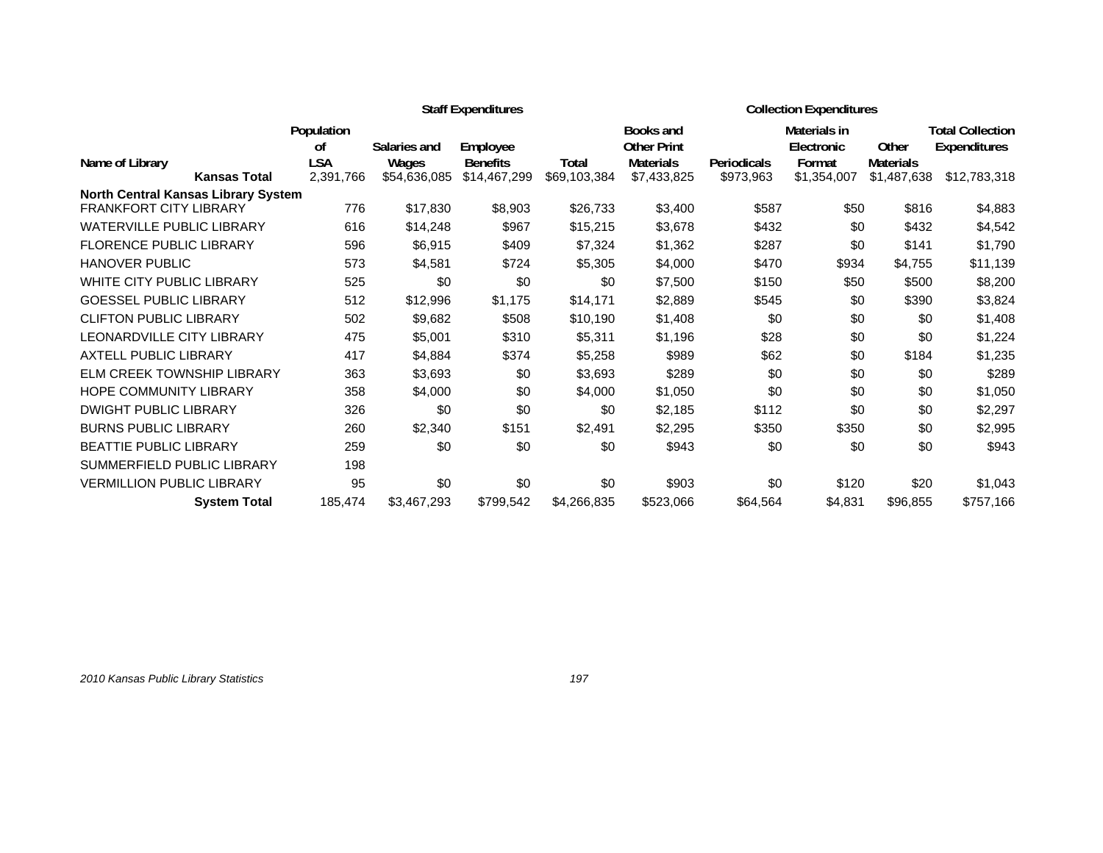|                                            |                  |                       | <b>Staff Expenditures</b>       |                       | <b>Collection Expenditures</b>  |                                 |                       |                                 |                         |
|--------------------------------------------|------------------|-----------------------|---------------------------------|-----------------------|---------------------------------|---------------------------------|-----------------------|---------------------------------|-------------------------|
|                                            | Population       |                       |                                 |                       | Books and                       |                                 | Materials in          |                                 | <b>Total Collection</b> |
|                                            | 0f               | Salaries and          | Employee                        |                       | <b>Other Print</b>              |                                 | Electronic            | Other                           | <b>Expenditures</b>     |
| Name of Library<br><b>Kansas Total</b>     | LSA<br>2,391,766 | Wages<br>\$54,636,085 | <b>Benefits</b><br>\$14,467,299 | Total<br>\$69,103,384 | <b>Materials</b><br>\$7,433,825 | <b>Periodicals</b><br>\$973,963 | Format<br>\$1,354,007 | <b>Materials</b><br>\$1,487,638 | \$12,783,318            |
| <b>North Central Kansas Library System</b> |                  |                       |                                 |                       |                                 |                                 |                       |                                 |                         |
| FRANKFORT CITY LIBRARY                     | 776              | \$17,830              | \$8,903                         | \$26,733              | \$3,400                         | \$587                           | \$50                  | \$816                           | \$4,883                 |
| <b>WATERVILLE PUBLIC LIBRARY</b>           | 616              | \$14,248              | \$967                           | \$15,215              | \$3,678                         | \$432                           | \$0                   | \$432                           | \$4,542                 |
| FLORENCE PUBLIC LIBRARY                    | 596              | \$6,915               | \$409                           | \$7,324               | \$1,362                         | \$287                           | \$0                   | \$141                           | \$1,790                 |
| <b>HANOVER PUBLIC</b>                      | 573              | \$4,581               | \$724                           | \$5,305               | \$4,000                         | \$470                           | \$934                 | \$4,755                         | \$11,139                |
| <b>WHITE CITY PUBLIC LIBRARY</b>           | 525              | \$0                   | \$0                             | \$0                   | \$7,500                         | \$150                           | \$50                  | \$500                           | \$8,200                 |
| <b>GOESSEL PUBLIC LIBRARY</b>              | 512              | \$12,996              | \$1,175                         | \$14,171              | \$2,889                         | \$545                           | \$0                   | \$390                           | \$3,824                 |
| <b>CLIFTON PUBLIC LIBRARY</b>              | 502              | \$9,682               | \$508                           | \$10,190              | \$1,408                         | \$0                             | \$0                   | \$0                             | \$1,408                 |
| <b>LEONARDVILLE CITY LIBRARY</b>           | 475              | \$5,001               | \$310                           | \$5,311               | \$1,196                         | \$28                            | \$0                   | \$0                             | \$1,224                 |
| <b>AXTELL PUBLIC LIBRARY</b>               | 417              | \$4,884               | \$374                           | \$5,258               | \$989                           | \$62                            | \$0                   | \$184                           | \$1,235                 |
| <b>ELM CREEK TOWNSHIP LIBRARY</b>          | 363              | \$3,693               | \$0                             | \$3,693               | \$289                           | \$0                             | \$0                   | \$0                             | \$289                   |
| <b>HOPE COMMUNITY LIBRARY</b>              | 358              | \$4,000               | \$0                             | \$4,000               | \$1,050                         | \$0                             | \$0                   | \$0                             | \$1,050                 |
| <b>DWIGHT PUBLIC LIBRARY</b>               | 326              | \$0                   | \$0                             | \$0                   | \$2,185                         | \$112                           | \$0                   | \$0                             | \$2,297                 |
| <b>BURNS PUBLIC LIBRARY</b>                | 260              | \$2,340               | \$151                           | \$2,491               | \$2,295                         | \$350                           | \$350                 | \$0                             | \$2,995                 |
| <b>BEATTIE PUBLIC LIBRARY</b>              | 259              | \$0                   | \$0                             | \$0                   | \$943                           | \$0                             | \$0                   | \$0                             | \$943                   |
| SUMMERFIELD PUBLIC LIBRARY                 | 198              |                       |                                 |                       |                                 |                                 |                       |                                 |                         |
| <b>VERMILLION PUBLIC LIBRARY</b>           | 95               | \$0                   | \$0                             | \$0                   | \$903                           | \$0                             | \$120                 | \$20                            | \$1,043                 |
| <b>System Total</b>                        | 185,474          | \$3,467,293           | \$799,542                       | \$4,266,835           | \$523,066                       | \$64,564                        | \$4,831               | \$96,855                        | \$757,166               |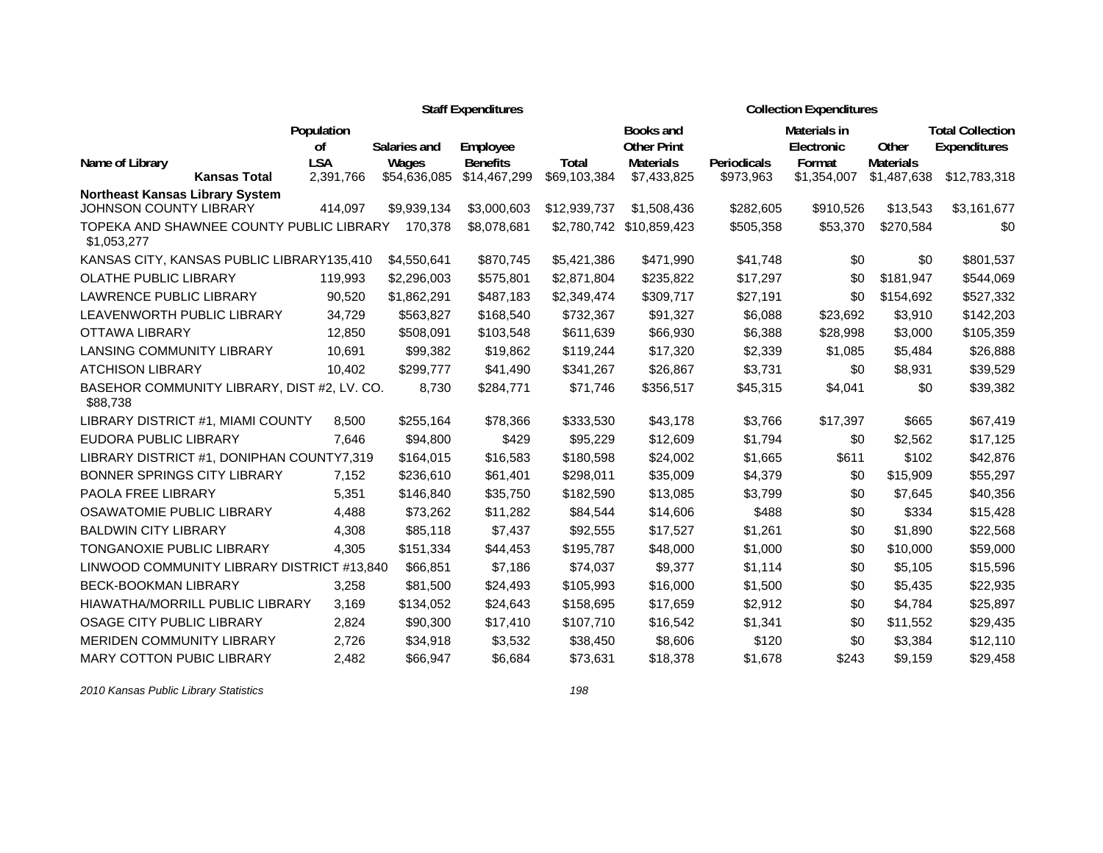|                                                         |                  |                       | <b>Staff Expenditures</b>   |              | <b>Collection Expenditures</b>         |             |                      |                           |                         |
|---------------------------------------------------------|------------------|-----------------------|-----------------------------|--------------|----------------------------------------|-------------|----------------------|---------------------------|-------------------------|
|                                                         | Population       |                       |                             |              | <b>Books and</b>                       |             | Materials in         |                           | <b>Total Collection</b> |
| Name of Library                                         | 0f<br><b>LSA</b> | Salaries and          | Employee<br><b>Benefits</b> | <b>Total</b> | <b>Other Print</b><br><b>Materials</b> | Periodicals | Electronic<br>Format | Other<br><b>Materials</b> | Expenditures            |
| <b>Kansas Total</b>                                     | 2,391,766        | Wages<br>\$54,636,085 | \$14,467,299                | \$69,103,384 | \$7,433,825                            | \$973,963   | \$1,354,007          | \$1,487,638               | \$12,783,318            |
| <b>Northeast Kansas Library System</b>                  |                  |                       |                             |              |                                        |             |                      |                           |                         |
| JOHNSON COUNTY LIBRARY                                  | 414,097          | \$9,939,134           | \$3,000,603                 | \$12,939,737 | \$1,508,436                            | \$282,605   | \$910,526            | \$13,543                  | \$3,161,677             |
| TOPEKA AND SHAWNEE COUNTY PUBLIC LIBRARY<br>\$1,053,277 |                  | 170,378               | \$8,078,681                 | \$2,780,742  | \$10,859,423                           | \$505,358   | \$53,370             | \$270,584                 | \$0                     |
| KANSAS CITY, KANSAS PUBLIC LIBRARY135,410               |                  | \$4,550,641           | \$870,745                   | \$5,421,386  | \$471,990                              | \$41,748    | \$0                  | \$0                       | \$801,537               |
| OLATHE PUBLIC LIBRARY                                   | 119,993          | \$2,296,003           | \$575,801                   | \$2,871,804  | \$235,822                              | \$17,297    | \$0                  | \$181,947                 | \$544,069               |
| <b>LAWRENCE PUBLIC LIBRARY</b>                          | 90,520           | \$1,862,291           | \$487,183                   | \$2,349,474  | \$309,717                              | \$27,191    | \$0                  | \$154,692                 | \$527,332               |
| LEAVENWORTH PUBLIC LIBRARY                              | 34,729           | \$563,827             | \$168,540                   | \$732,367    | \$91,327                               | \$6,088     | \$23,692             | \$3,910                   | \$142,203               |
| <b>OTTAWA LIBRARY</b>                                   | 12,850           | \$508,091             | \$103,548                   | \$611,639    | \$66,930                               | \$6,388     | \$28,998             | \$3,000                   | \$105,359               |
| <b>LANSING COMMUNITY LIBRARY</b>                        | 10.691           | \$99,382              | \$19,862                    | \$119,244    | \$17,320                               | \$2,339     | \$1,085              | \$5,484                   | \$26,888                |
| <b>ATCHISON LIBRARY</b>                                 | 10,402           | \$299,777             | \$41,490                    | \$341,267    | \$26,867                               | \$3,731     | \$0                  | \$8,931                   | \$39,529                |
| BASEHOR COMMUNITY LIBRARY, DIST #2, LV. CO.<br>\$88,738 |                  | 8,730                 | \$284,771                   | \$71,746     | \$356,517                              | \$45,315    | \$4,041              | \$0                       | \$39,382                |
| LIBRARY DISTRICT #1, MIAMI COUNTY                       | 8,500            | \$255,164             | \$78,366                    | \$333,530    | \$43,178                               | \$3,766     | \$17,397             | \$665                     | \$67,419                |
| EUDORA PUBLIC LIBRARY                                   | 7.646            | \$94,800              | \$429                       | \$95,229     | \$12,609                               | \$1,794     | \$0                  | \$2,562                   | \$17,125                |
| LIBRARY DISTRICT #1, DONIPHAN COUNTY7,319               |                  | \$164,015             | \$16,583                    | \$180,598    | \$24,002                               | \$1,665     | \$611                | \$102                     | \$42,876                |
| BONNER SPRINGS CITY LIBRARY                             | 7.152            | \$236,610             | \$61,401                    | \$298,011    | \$35,009                               | \$4,379     | \$0                  | \$15,909                  | \$55,297                |
| PAOLA FREE LIBRARY                                      | 5,351            | \$146,840             | \$35,750                    | \$182,590    | \$13,085                               | \$3,799     | \$0                  | \$7,645                   | \$40,356                |
| <b>OSAWATOMIE PUBLIC LIBRARY</b>                        | 4,488            | \$73,262              | \$11,282                    | \$84,544     | \$14,606                               | \$488       | \$0                  | \$334                     | \$15,428                |
| <b>BALDWIN CITY LIBRARY</b>                             | 4,308            | \$85,118              | \$7,437                     | \$92,555     | \$17,527                               | \$1,261     | \$0                  | \$1,890                   | \$22,568                |
| <b>TONGANOXIE PUBLIC LIBRARY</b>                        | 4,305            | \$151,334             | \$44,453                    | \$195,787    | \$48,000                               | \$1,000     | \$0                  | \$10,000                  | \$59,000                |
| LINWOOD COMMUNITY LIBRARY DISTRICT #13,840              |                  | \$66,851              | \$7,186                     | \$74,037     | \$9,377                                | \$1,114     | \$0                  | \$5,105                   | \$15,596                |
| <b>BECK-BOOKMAN LIBRARY</b>                             | 3,258            | \$81,500              | \$24,493                    | \$105,993    | \$16,000                               | \$1,500     | \$0                  | \$5,435                   | \$22,935                |
| HIAWATHA/MORRILL PUBLIC LIBRARY                         | 3,169            | \$134,052             | \$24,643                    | \$158,695    | \$17,659                               | \$2,912     | \$0                  | \$4,784                   | \$25,897                |
| OSAGE CITY PUBLIC LIBRARY                               | 2,824            | \$90,300              | \$17,410                    | \$107,710    | \$16,542                               | \$1,341     | \$0                  | \$11,552                  | \$29,435                |
| MERIDEN COMMUNITY LIBRARY                               | 2,726            | \$34,918              | \$3,532                     | \$38,450     | \$8,606                                | \$120       | \$0                  | \$3,384                   | \$12,110                |
| <b>MARY COTTON PUBIC LIBRARY</b>                        | 2.482            | \$66.947              | \$6.684                     | \$73.631     | \$18,378                               | \$1.678     | \$243                | \$9.159                   | \$29,458                |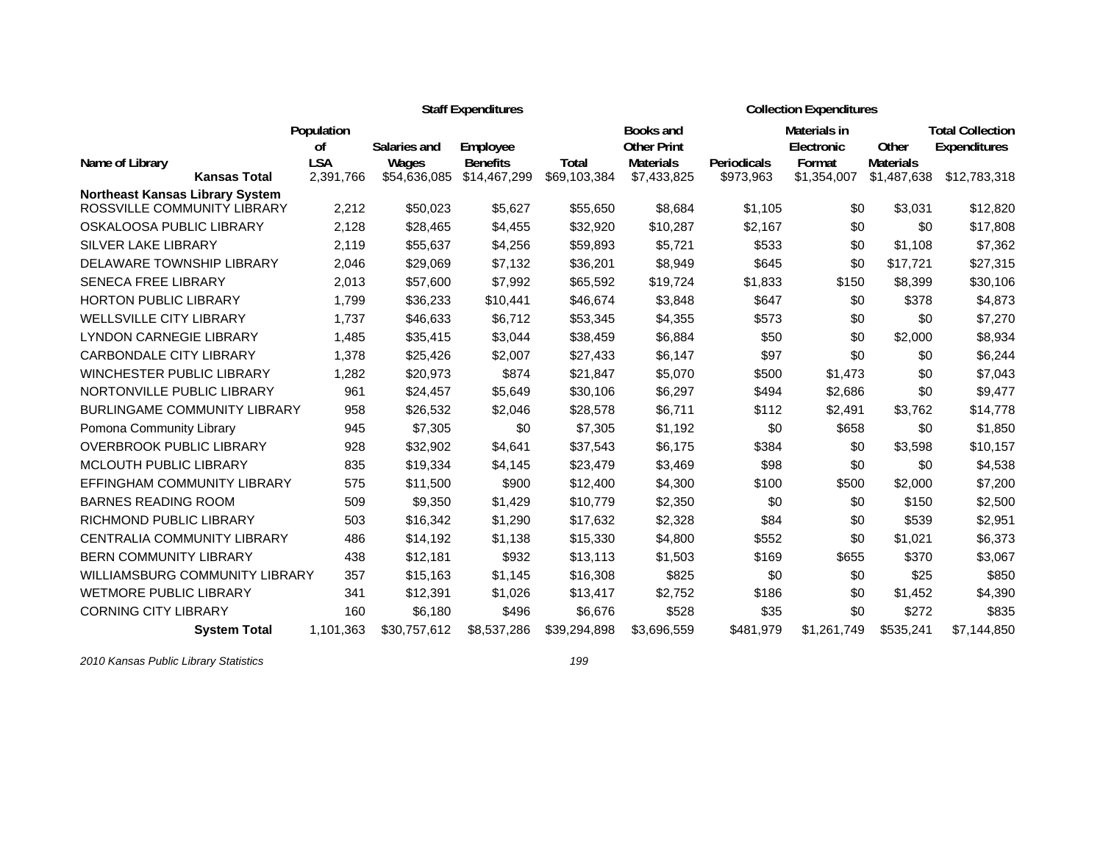|                                        |                         |                       | <b>Staff Expenditures</b>       |                       | <b>Collection Expenditures</b>         |                          |                            |                                 |                                                |
|----------------------------------------|-------------------------|-----------------------|---------------------------------|-----------------------|----------------------------------------|--------------------------|----------------------------|---------------------------------|------------------------------------------------|
|                                        | Population<br>οf        | Salaries and          | Employee                        |                       | <b>Books and</b><br><b>Other Print</b> |                          | Materials in<br>Electronic | Other                           | <b>Total Collection</b><br><b>Expenditures</b> |
| Name of Library<br><b>Kansas Total</b> | <b>LSA</b><br>2,391,766 | Wages<br>\$54,636,085 | <b>Benefits</b><br>\$14,467,299 | Total<br>\$69,103,384 | <b>Materials</b><br>\$7,433,825        | Periodicals<br>\$973,963 | Format<br>\$1,354,007      | <b>Materials</b><br>\$1,487,638 | \$12,783,318                                   |
| <b>Northeast Kansas Library System</b> |                         |                       |                                 |                       |                                        |                          |                            |                                 |                                                |
| ROSSVILLE COMMUNITY LIBRARY            | 2,212                   | \$50,023              | \$5,627                         | \$55,650              | \$8,684                                | \$1,105                  | \$0                        | \$3,031                         | \$12,820                                       |
| OSKALOOSA PUBLIC LIBRARY               | 2,128                   | \$28,465              | \$4,455                         | \$32,920              | \$10,287                               | \$2,167                  | \$0                        | \$0                             | \$17,808                                       |
| SILVER LAKE LIBRARY                    | 2,119                   | \$55,637              | \$4,256                         | \$59,893              | \$5,721                                | \$533                    | \$0                        | \$1,108                         | \$7,362                                        |
| DELAWARE TOWNSHIP LIBRARY              | 2,046                   | \$29,069              | \$7,132                         | \$36,201              | \$8,949                                | \$645                    | \$0                        | \$17,721                        | \$27,315                                       |
| <b>SENECA FREE LIBRARY</b>             | 2,013                   | \$57,600              | \$7,992                         | \$65,592              | \$19,724                               | \$1,833                  | \$150                      | \$8,399                         | \$30,106                                       |
| <b>HORTON PUBLIC LIBRARY</b>           | 1,799                   | \$36,233              | \$10,441                        | \$46,674              | \$3,848                                | \$647                    | \$0                        | \$378                           | \$4,873                                        |
| <b>WELLSVILLE CITY LIBRARY</b>         | 1.737                   | \$46,633              | \$6,712                         | \$53,345              | \$4,355                                | \$573                    | \$0                        | \$0                             | \$7,270                                        |
| <b>LYNDON CARNEGIE LIBRARY</b>         | 1.485                   | \$35,415              | \$3,044                         | \$38,459              | \$6,884                                | \$50                     | \$0                        | \$2,000                         | \$8,934                                        |
| <b>CARBONDALE CITY LIBRARY</b>         | 1.378                   | \$25,426              | \$2,007                         | \$27,433              | \$6,147                                | \$97                     | \$0                        | \$0                             | \$6,244                                        |
| <b>WINCHESTER PUBLIC LIBRARY</b>       | 1,282                   | \$20,973              | \$874                           | \$21,847              | \$5,070                                | \$500                    | \$1,473                    | \$0                             | \$7,043                                        |
| NORTONVILLE PUBLIC LIBRARY             | 961                     | \$24,457              | \$5,649                         | \$30,106              | \$6,297                                | \$494                    | \$2,686                    | \$0                             | \$9,477                                        |
| <b>BURLINGAME COMMUNITY LIBRARY</b>    | 958                     | \$26,532              | \$2,046                         | \$28,578              | \$6,711                                | \$112                    | \$2,491                    | \$3,762                         | \$14,778                                       |
| Pomona Community Library               | 945                     | \$7,305               | \$0                             | \$7,305               | \$1,192                                | \$0                      | \$658                      | \$0                             | \$1,850                                        |
| <b>OVERBROOK PUBLIC LIBRARY</b>        | 928                     | \$32,902              | \$4,641                         | \$37,543              | \$6,175                                | \$384                    | \$0                        | \$3,598                         | \$10,157                                       |
| <b>MCLOUTH PUBLIC LIBRARY</b>          | 835                     | \$19,334              | \$4,145                         | \$23,479              | \$3,469                                | \$98                     | \$0                        | \$0                             | \$4,538                                        |
| EFFINGHAM COMMUNITY LIBRARY            | 575                     | \$11,500              | \$900                           | \$12,400              | \$4,300                                | \$100                    | \$500                      | \$2,000                         | \$7,200                                        |
| <b>BARNES READING ROOM</b>             | 509                     | \$9,350               | \$1,429                         | \$10,779              | \$2,350                                | \$0                      | \$0                        | \$150                           | \$2,500                                        |
| RICHMOND PUBLIC LIBRARY                | 503                     | \$16,342              | \$1,290                         | \$17,632              | \$2,328                                | \$84                     | \$0                        | \$539                           | \$2,951                                        |
| CENTRALIA COMMUNITY LIBRARY            | 486                     | \$14,192              | \$1,138                         | \$15,330              | \$4,800                                | \$552                    | \$0                        | \$1,021                         | \$6,373                                        |
| <b>BERN COMMUNITY LIBRARY</b>          | 438                     | \$12,181              | \$932                           | \$13,113              | \$1,503                                | \$169                    | \$655                      | \$370                           | \$3,067                                        |
| <b>WILLIAMSBURG COMMUNITY LIBRARY</b>  | 357                     | \$15,163              | \$1,145                         | \$16,308              | \$825                                  | \$0                      | \$0                        | \$25                            | \$850                                          |
| <b>WETMORE PUBLIC LIBRARY</b>          | 341                     | \$12,391              | \$1,026                         | \$13,417              | \$2,752                                | \$186                    | \$0                        | \$1,452                         | \$4,390                                        |
| <b>CORNING CITY LIBRARY</b>            | 160                     | \$6,180               | \$496                           | \$6,676               | \$528                                  | \$35                     | \$0                        | \$272                           | \$835                                          |
| <b>System Total</b>                    | 1,101,363               | \$30.757.612          | \$8.537.286                     | \$39.294.898          | \$3,696,559                            | \$481.979                | \$1,261,749                | \$535.241                       | \$7.144.850                                    |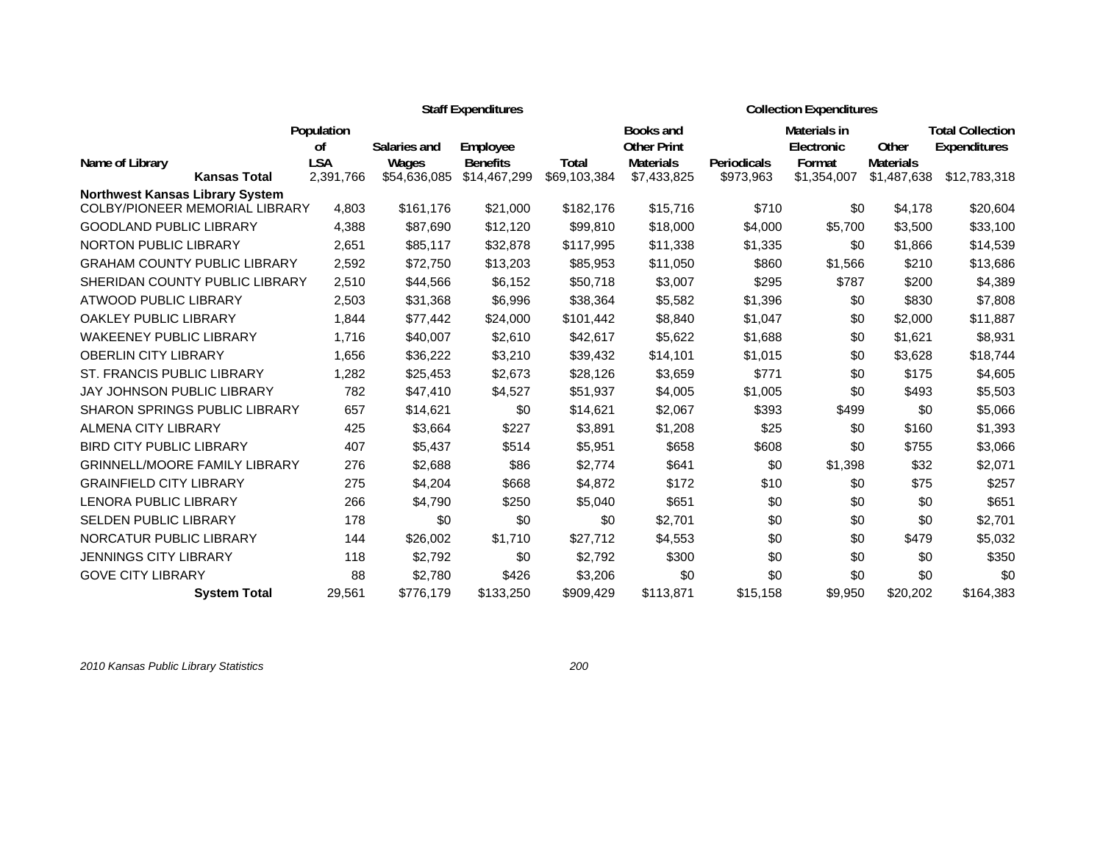|                                        |                         |                       | <b>Staff Expenditures</b>       |                       |                                        | <b>Collection Expenditures</b> |                            |                                 |                                         |  |
|----------------------------------------|-------------------------|-----------------------|---------------------------------|-----------------------|----------------------------------------|--------------------------------|----------------------------|---------------------------------|-----------------------------------------|--|
|                                        | Population<br>οf        | Salaries and          | Employee                        |                       | <b>Books and</b><br><b>Other Print</b> |                                | Materials in<br>Electronic | Other                           | <b>Total Collection</b><br>Expenditures |  |
| Name of Library<br><b>Kansas Total</b> | <b>LSA</b><br>2,391,766 | Wages<br>\$54,636,085 | <b>Benefits</b><br>\$14,467,299 | Total<br>\$69,103,384 | <b>Materials</b><br>\$7,433,825        | Periodicals<br>\$973,963       | Format<br>\$1,354,007      | <b>Materials</b><br>\$1,487,638 | \$12,783,318                            |  |
| <b>Northwest Kansas Library System</b> |                         |                       |                                 |                       |                                        |                                |                            |                                 |                                         |  |
| <b>COLBY/PIONEER MEMORIAL LIBRARY</b>  | 4,803                   | \$161,176             | \$21,000                        | \$182,176             | \$15,716                               | \$710                          | \$0                        | \$4,178                         | \$20,604                                |  |
| <b>GOODLAND PUBLIC LIBRARY</b>         | 4.388                   | \$87,690              | \$12,120                        | \$99,810              | \$18,000                               | \$4,000                        | \$5,700                    | \$3,500                         | \$33,100                                |  |
| <b>NORTON PUBLIC LIBRARY</b>           | 2,651                   | \$85,117              | \$32,878                        | \$117,995             | \$11,338                               | \$1,335                        | \$0                        | \$1,866                         | \$14,539                                |  |
| <b>GRAHAM COUNTY PUBLIC LIBRARY</b>    | 2,592                   | \$72,750              | \$13,203                        | \$85,953              | \$11,050                               | \$860                          | \$1,566                    | \$210                           | \$13,686                                |  |
| SHERIDAN COUNTY PUBLIC LIBRARY         | 2,510                   | \$44,566              | \$6,152                         | \$50,718              | \$3,007                                | \$295                          | \$787                      | \$200                           | \$4,389                                 |  |
| ATWOOD PUBLIC LIBRARY                  | 2,503                   | \$31,368              | \$6,996                         | \$38,364              | \$5,582                                | \$1,396                        | \$0                        | \$830                           | \$7,808                                 |  |
| OAKLEY PUBLIC LIBRARY                  | 1,844                   | \$77,442              | \$24,000                        | \$101,442             | \$8,840                                | \$1,047                        | \$0                        | \$2,000                         | \$11,887                                |  |
| <b>WAKEENEY PUBLIC LIBRARY</b>         | 1,716                   | \$40,007              | \$2,610                         | \$42,617              | \$5,622                                | \$1,688                        | \$0                        | \$1,621                         | \$8,931                                 |  |
| <b>OBERLIN CITY LIBRARY</b>            | 1,656                   | \$36,222              | \$3,210                         | \$39,432              | \$14,101                               | \$1,015                        | \$0                        | \$3,628                         | \$18,744                                |  |
| <b>ST. FRANCIS PUBLIC LIBRARY</b>      | 1,282                   | \$25,453              | \$2,673                         | \$28,126              | \$3,659                                | \$771                          | \$0                        | \$175                           | \$4,605                                 |  |
| <b>JAY JOHNSON PUBLIC LIBRARY</b>      | 782                     | \$47,410              | \$4,527                         | \$51,937              | \$4,005                                | \$1,005                        | \$0                        | \$493                           | \$5,503                                 |  |
| <b>SHARON SPRINGS PUBLIC LIBRARY</b>   | 657                     | \$14,621              | \$0                             | \$14,621              | \$2,067                                | \$393                          | \$499                      | \$0                             | \$5,066                                 |  |
| ALMENA CITY LIBRARY                    | 425                     | \$3,664               | \$227                           | \$3,891               | \$1,208                                | \$25                           | \$0                        | \$160                           | \$1,393                                 |  |
| <b>BIRD CITY PUBLIC LIBRARY</b>        | 407                     | \$5,437               | \$514                           | \$5,951               | \$658                                  | \$608                          | \$0                        | \$755                           | \$3,066                                 |  |
| <b>GRINNELL/MOORE FAMILY LIBRARY</b>   | 276                     | \$2,688               | \$86                            | \$2,774               | \$641                                  | \$0                            | \$1,398                    | \$32                            | \$2,071                                 |  |
| <b>GRAINFIELD CITY LIBRARY</b>         | 275                     | \$4,204               | \$668                           | \$4,872               | \$172                                  | \$10                           | \$0                        | \$75                            | \$257                                   |  |
| <b>LENORA PUBLIC LIBRARY</b>           | 266                     | \$4,790               | \$250                           | \$5,040               | \$651                                  | \$0                            | \$0                        | \$0                             | \$651                                   |  |
| <b>SELDEN PUBLIC LIBRARY</b>           | 178                     | \$0                   | \$0                             | \$0                   | \$2,701                                | \$0                            | \$0                        | \$0                             | \$2,701                                 |  |
| NORCATUR PUBLIC LIBRARY                | 144                     | \$26,002              | \$1,710                         | \$27,712              | \$4,553                                | \$0                            | \$0                        | \$479                           | \$5,032                                 |  |
| <b>JENNINGS CITY LIBRARY</b>           | 118                     | \$2,792               | \$0                             | \$2,792               | \$300                                  | \$0                            | \$0                        | \$0                             | \$350                                   |  |
| <b>GOVE CITY LIBRARY</b>               | 88                      | \$2,780               | \$426                           | \$3,206               | \$0                                    | \$0                            | \$0                        | \$0                             | \$0                                     |  |
| <b>System Total</b>                    | 29,561                  | \$776,179             | \$133,250                       | \$909,429             | \$113,871                              | \$15,158                       | \$9,950                    | \$20,202                        | \$164,383                               |  |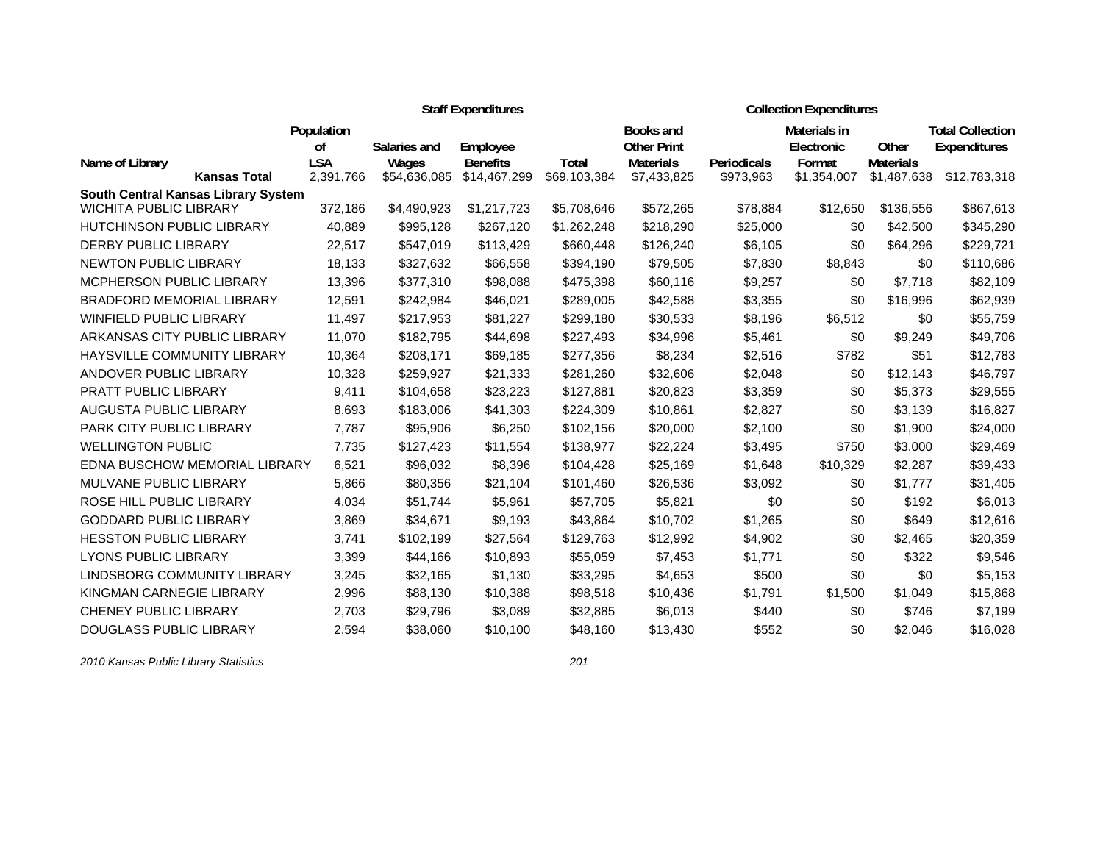|                                        |                         |                       | <b>Staff Expenditures</b>       |                       | <b>Collection Expenditures</b>  |                          |                       |                                 |                         |  |
|----------------------------------------|-------------------------|-----------------------|---------------------------------|-----------------------|---------------------------------|--------------------------|-----------------------|---------------------------------|-------------------------|--|
|                                        | Population              |                       |                                 |                       | <b>Books and</b>                |                          | Materials in          |                                 | <b>Total Collection</b> |  |
|                                        | οf                      | Salaries and          | Employee                        |                       | <b>Other Print</b>              |                          | Electronic            | Other                           | <b>Expenditures</b>     |  |
| Name of Library<br><b>Kansas Total</b> | <b>LSA</b><br>2,391,766 | Wages<br>\$54,636,085 | <b>Benefits</b><br>\$14,467,299 | Total<br>\$69,103,384 | <b>Materials</b><br>\$7,433,825 | Periodicals<br>\$973,963 | Format<br>\$1,354,007 | <b>Materials</b><br>\$1,487,638 | \$12,783,318            |  |
| South Central Kansas Library System    |                         |                       |                                 |                       |                                 |                          |                       |                                 |                         |  |
| <b>WICHITA PUBLIC LIBRARY</b>          | 372,186                 | \$4,490,923           | \$1,217,723                     | \$5,708,646           | \$572,265                       | \$78,884                 | \$12,650              | \$136,556                       | \$867,613               |  |
| <b>HUTCHINSON PUBLIC LIBRARY</b>       | 40,889                  | \$995,128             | \$267,120                       | \$1,262,248           | \$218,290                       | \$25,000                 | \$0                   | \$42,500                        | \$345,290               |  |
| DERBY PUBLIC LIBRARY                   | 22,517                  | \$547,019             | \$113,429                       | \$660,448             | \$126,240                       | \$6,105                  | \$0                   | \$64,296                        | \$229,721               |  |
| <b>NEWTON PUBLIC LIBRARY</b>           | 18,133                  | \$327,632             | \$66,558                        | \$394,190             | \$79,505                        | \$7,830                  | \$8,843               | \$0                             | \$110,686               |  |
| <b>MCPHERSON PUBLIC LIBRARY</b>        | 13,396                  | \$377,310             | \$98,088                        | \$475,398             | \$60,116                        | \$9,257                  | \$0                   | \$7,718                         | \$82,109                |  |
| <b>BRADFORD MEMORIAL LIBRARY</b>       | 12,591                  | \$242,984             | \$46,021                        | \$289,005             | \$42,588                        | \$3,355                  | \$0                   | \$16,996                        | \$62,939                |  |
| <b>WINFIELD PUBLIC LIBRARY</b>         | 11,497                  | \$217,953             | \$81,227                        | \$299,180             | \$30,533                        | \$8,196                  | \$6,512               | \$0                             | \$55,759                |  |
| ARKANSAS CITY PUBLIC LIBRARY           | 11,070                  | \$182,795             | \$44,698                        | \$227,493             | \$34,996                        | \$5,461                  | \$0                   | \$9,249                         | \$49,706                |  |
| <b>HAYSVILLE COMMUNITY LIBRARY</b>     | 10,364                  | \$208,171             | \$69,185                        | \$277,356             | \$8,234                         | \$2,516                  | \$782                 | \$51                            | \$12,783                |  |
| ANDOVER PUBLIC LIBRARY                 | 10,328                  | \$259,927             | \$21,333                        | \$281,260             | \$32,606                        | \$2,048                  | \$0                   | \$12,143                        | \$46,797                |  |
| PRATT PUBLIC LIBRARY                   | 9,411                   | \$104,658             | \$23,223                        | \$127,881             | \$20,823                        | \$3,359                  | \$0                   | \$5,373                         | \$29,555                |  |
| AUGUSTA PUBLIC LIBRARY                 | 8,693                   | \$183,006             | \$41,303                        | \$224,309             | \$10,861                        | \$2,827                  | \$0                   | \$3,139                         | \$16,827                |  |
| PARK CITY PUBLIC LIBRARY               | 7,787                   | \$95,906              | \$6,250                         | \$102,156             | \$20,000                        | \$2,100                  | \$0                   | \$1,900                         | \$24,000                |  |
| <b>WELLINGTON PUBLIC</b>               | 7,735                   | \$127,423             | \$11,554                        | \$138,977             | \$22,224                        | \$3,495                  | \$750                 | \$3,000                         | \$29,469                |  |
| EDNA BUSCHOW MEMORIAL LIBRARY          | 6,521                   | \$96,032              | \$8,396                         | \$104,428             | \$25,169                        | \$1,648                  | \$10,329              | \$2,287                         | \$39,433                |  |
| <b>MULVANE PUBLIC LIBRARY</b>          | 5,866                   | \$80,356              | \$21,104                        | \$101,460             | \$26,536                        | \$3,092                  | \$0                   | \$1,777                         | \$31,405                |  |
| ROSE HILL PUBLIC LIBRARY               | 4,034                   | \$51,744              | \$5,961                         | \$57,705              | \$5,821                         | \$0                      | \$0                   | \$192                           | \$6,013                 |  |
| <b>GODDARD PUBLIC LIBRARY</b>          | 3,869                   | \$34,671              | \$9,193                         | \$43,864              | \$10,702                        | \$1,265                  | \$0                   | \$649                           | \$12,616                |  |
| <b>HESSTON PUBLIC LIBRARY</b>          | 3,741                   | \$102,199             | \$27,564                        | \$129,763             | \$12,992                        | \$4,902                  | \$0                   | \$2,465                         | \$20,359                |  |
| <b>LYONS PUBLIC LIBRARY</b>            | 3,399                   | \$44,166              | \$10,893                        | \$55,059              | \$7,453                         | \$1,771                  | \$0                   | \$322                           | \$9,546                 |  |
| LINDSBORG COMMUNITY LIBRARY            | 3,245                   | \$32,165              | \$1,130                         | \$33,295              | \$4,653                         | \$500                    | \$0                   | \$0                             | \$5,153                 |  |
| KINGMAN CARNEGIE LIBRARY               | 2,996                   | \$88,130              | \$10,388                        | \$98,518              | \$10,436                        | \$1,791                  | \$1,500               | \$1,049                         | \$15,868                |  |
| CHENEY PUBLIC LIBRARY                  | 2,703                   | \$29,796              | \$3,089                         | \$32,885              | \$6,013                         | \$440                    | \$0                   | \$746                           | \$7,199                 |  |
| <b>DOUGLASS PUBLIC LIBRARY</b>         | 2,594                   | \$38,060              | \$10,100                        | \$48,160              | \$13,430                        | \$552                    | \$0                   | \$2,046                         | \$16,028                |  |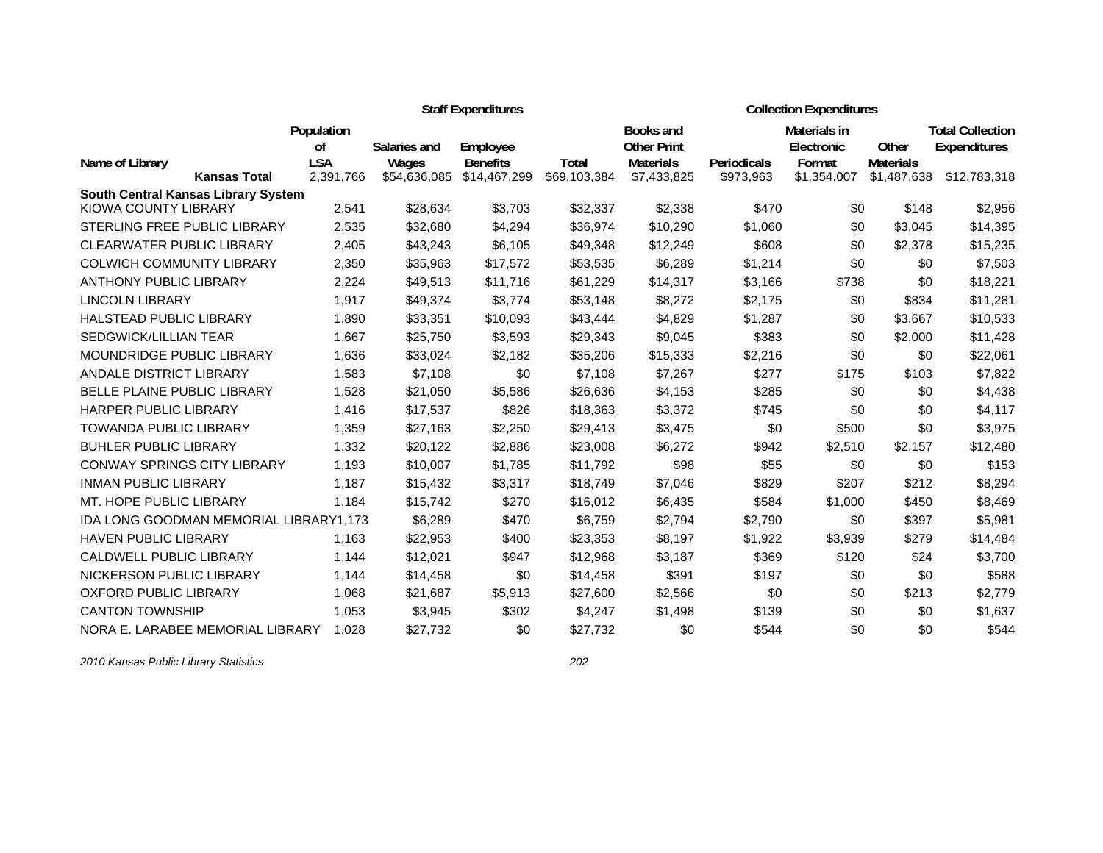|                                        |                  |              | <b>Staff Expenditures</b> |              | <b>Collection Expenditures</b>         |             |                            |                  |                                                |  |
|----------------------------------------|------------------|--------------|---------------------------|--------------|----------------------------------------|-------------|----------------------------|------------------|------------------------------------------------|--|
|                                        | Population<br>0f | Salaries and | Employee                  |              | <b>Books and</b><br><b>Other Print</b> |             | Materials in<br>Electronic | Other            | <b>Total Collection</b><br><b>Expenditures</b> |  |
| Name of Library                        | <b>LSA</b>       | Wages        | <b>Benefits</b>           | Total        | <b>Materials</b>                       | Periodicals | Format                     | <b>Materials</b> |                                                |  |
| <b>Kansas Total</b>                    | 2,391,766        | \$54,636,085 | \$14,467,299              | \$69,103,384 | \$7,433,825                            | \$973,963   | \$1,354,007                | \$1,487,638      | \$12,783,318                                   |  |
| South Central Kansas Library System    |                  |              |                           |              |                                        |             |                            |                  |                                                |  |
| KIOWA COUNTY LIBRARY                   | 2,541            | \$28,634     | \$3,703                   | \$32,337     | \$2,338                                | \$470       | \$0                        | \$148            | \$2,956                                        |  |
| STERLING FREE PUBLIC LIBRARY           | 2,535            | \$32,680     | \$4,294                   | \$36,974     | \$10,290                               | \$1,060     | \$0                        | \$3,045          | \$14,395                                       |  |
| <b>CLEARWATER PUBLIC LIBRARY</b>       | 2,405            | \$43,243     | \$6,105                   | \$49,348     | \$12,249                               | \$608       | \$0                        | \$2,378          | \$15,235                                       |  |
| <b>COLWICH COMMUNITY LIBRARY</b>       | 2,350            | \$35,963     | \$17,572                  | \$53,535     | \$6,289                                | \$1,214     | \$0                        | \$0              | \$7,503                                        |  |
| <b>ANTHONY PUBLIC LIBRARY</b>          | 2,224            | \$49,513     | \$11,716                  | \$61,229     | \$14,317                               | \$3,166     | \$738                      | \$0              | \$18,221                                       |  |
| <b>LINCOLN LIBRARY</b>                 | 1,917            | \$49,374     | \$3,774                   | \$53,148     | \$8,272                                | \$2,175     | \$0                        | \$834            | \$11,281                                       |  |
| <b>HALSTEAD PUBLIC LIBRARY</b>         | 1.890            | \$33,351     | \$10,093                  | \$43,444     | \$4,829                                | \$1,287     | \$0                        | \$3,667          | \$10,533                                       |  |
| <b>SEDGWICK/LILLIAN TEAR</b>           | 1.667            | \$25,750     | \$3,593                   | \$29,343     | \$9,045                                | \$383       | \$0                        | \$2,000          | \$11,428                                       |  |
| MOUNDRIDGE PUBLIC LIBRARY              | 1,636            | \$33,024     | \$2,182                   | \$35,206     | \$15,333                               | \$2,216     | \$0                        | \$0              | \$22,061                                       |  |
| ANDALE DISTRICT LIBRARY                | 1,583            | \$7,108      | \$0                       | \$7,108      | \$7,267                                | \$277       | \$175                      | \$103            | \$7,822                                        |  |
| BELLE PLAINE PUBLIC LIBRARY            | 1,528            | \$21,050     | \$5,586                   | \$26,636     | \$4,153                                | \$285       | \$0                        | \$0              | \$4,438                                        |  |
| <b>HARPER PUBLIC LIBRARY</b>           | 1,416            | \$17,537     | \$826                     | \$18,363     | \$3,372                                | \$745       | \$0                        | \$0              | \$4,117                                        |  |
| <b>TOWANDA PUBLIC LIBRARY</b>          | 1,359            | \$27,163     | \$2,250                   | \$29,413     | \$3,475                                | \$0         | \$500                      | \$0              | \$3,975                                        |  |
| <b>BUHLER PUBLIC LIBRARY</b>           | 1,332            | \$20,122     | \$2,886                   | \$23,008     | \$6,272                                | \$942       | \$2,510                    | \$2,157          | \$12,480                                       |  |
| <b>CONWAY SPRINGS CITY LIBRARY</b>     | 1.193            | \$10,007     | \$1,785                   | \$11,792     | \$98                                   | \$55        | \$0                        | \$0              | \$153                                          |  |
| <b>INMAN PUBLIC LIBRARY</b>            | 1,187            | \$15,432     | \$3,317                   | \$18,749     | \$7,046                                | \$829       | \$207                      | \$212            | \$8,294                                        |  |
| MT. HOPE PUBLIC LIBRARY                | 1,184            | \$15,742     | \$270                     | \$16,012     | \$6,435                                | \$584       | \$1,000                    | \$450            | \$8,469                                        |  |
| IDA LONG GOODMAN MEMORIAL LIBRARY1,173 |                  | \$6,289      | \$470                     | \$6,759      | \$2,794                                | \$2,790     | \$0                        | \$397            | \$5,981                                        |  |
| HAVEN PUBLIC LIBRARY                   | 1,163            | \$22,953     | \$400                     | \$23,353     | \$8,197                                | \$1,922     | \$3,939                    | \$279            | \$14,484                                       |  |
| CALDWELL PUBLIC LIBRARY                | 1,144            | \$12,021     | \$947                     | \$12,968     | \$3,187                                | \$369       | \$120                      | \$24             | \$3,700                                        |  |
| NICKERSON PUBLIC LIBRARY               | 1,144            | \$14,458     | \$0                       | \$14,458     | \$391                                  | \$197       | \$0                        | \$0              | \$588                                          |  |
| <b>OXFORD PUBLIC LIBRARY</b>           | 1.068            | \$21,687     | \$5,913                   | \$27,600     | \$2,566                                | \$0         | \$0                        | \$213            | \$2,779                                        |  |
| <b>CANTON TOWNSHIP</b>                 | 1,053            | \$3,945      | \$302                     | \$4,247      | \$1,498                                | \$139       | \$0                        | \$0              | \$1,637                                        |  |
| NORA E. LARABEE MEMORIAL LIBRARY       | 1.028            | \$27,732     | \$0                       | \$27,732     | \$0                                    | \$544       | \$0                        | \$0              | \$544                                          |  |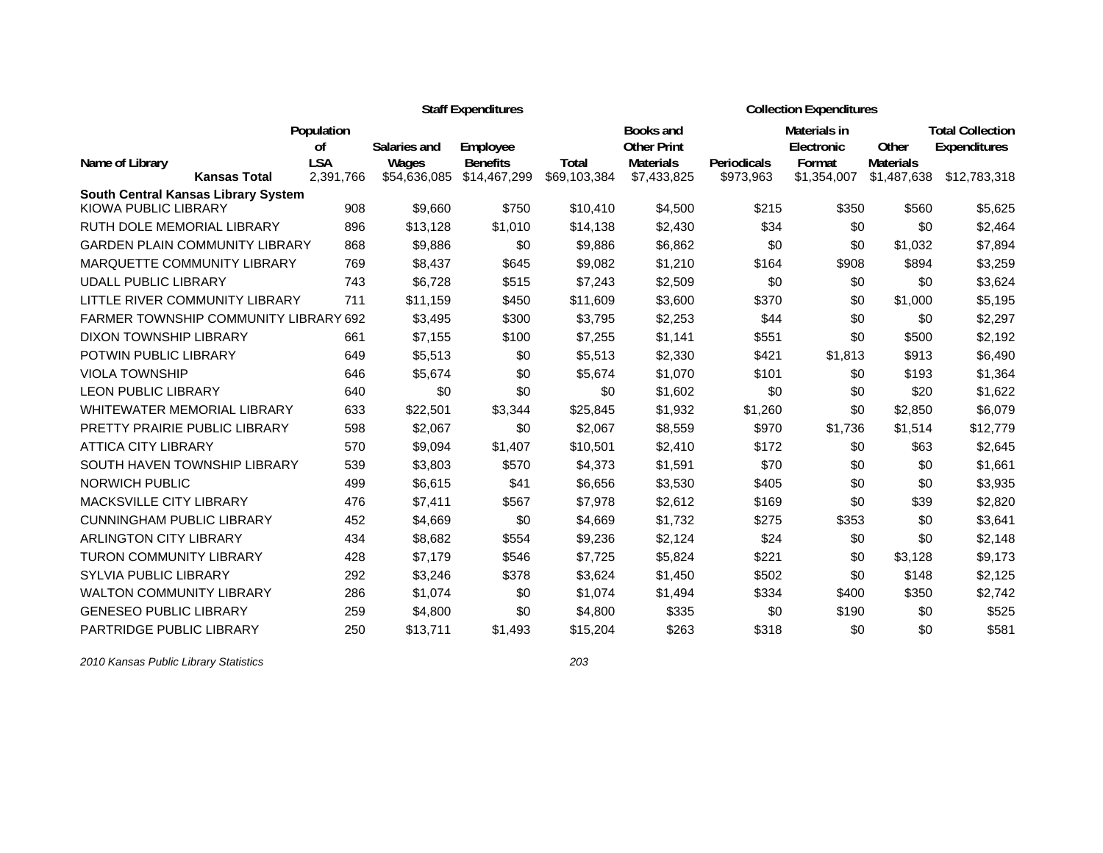|                                  |                                              |                  |                       | <b>Staff Expenditures</b>       |                       | <b>Collection Expenditures</b>  |                    |                       |                           |                         |  |
|----------------------------------|----------------------------------------------|------------------|-----------------------|---------------------------------|-----------------------|---------------------------------|--------------------|-----------------------|---------------------------|-------------------------|--|
|                                  |                                              | Population       |                       |                                 |                       | Books and                       |                    | Materials in          |                           | <b>Total Collection</b> |  |
|                                  |                                              | 0f<br><b>LSA</b> | Salaries and          | Employee                        |                       | <b>Other Print</b>              | <b>Periodicals</b> | Electronic            | Other<br><b>Materials</b> | Expenditures            |  |
| Name of Library                  | <b>Kansas Total</b>                          | 2,391,766        | Wages<br>\$54,636,085 | <b>Benefits</b><br>\$14,467,299 | Total<br>\$69,103,384 | <b>Materials</b><br>\$7,433,825 | \$973,963          | Format<br>\$1,354,007 | \$1,487,638               | \$12,783,318            |  |
|                                  | South Central Kansas Library System          |                  |                       |                                 |                       |                                 |                    |                       |                           |                         |  |
| KIOWA PUBLIC LIBRARY             |                                              | 908              | \$9,660               | \$750                           | \$10,410              | \$4,500                         | \$215              | \$350                 | \$560                     | \$5,625                 |  |
| RUTH DOLE MEMORIAL LIBRARY       |                                              | 896              | \$13.128              | \$1.010                         | \$14,138              | \$2,430                         | \$34               | \$0                   | \$0                       | \$2,464                 |  |
|                                  | <b>GARDEN PLAIN COMMUNITY LIBRARY</b>        | 868              | \$9,886               | \$0                             | \$9,886               | \$6,862                         | \$0                | \$0                   | \$1,032                   | \$7,894                 |  |
|                                  | MARQUETTE COMMUNITY LIBRARY                  | 769              | \$8,437               | \$645                           | \$9,082               | \$1,210                         | \$164              | \$908                 | \$894                     | \$3,259                 |  |
| <b>UDALL PUBLIC LIBRARY</b>      |                                              | 743              | \$6,728               | \$515                           | \$7,243               | \$2,509                         | \$0                | \$0                   | \$0                       | \$3,624                 |  |
|                                  | LITTLE RIVER COMMUNITY LIBRARY               | 711              | \$11,159              | \$450                           | \$11,609              | \$3,600                         | \$370              | \$0                   | \$1,000                   | \$5,195                 |  |
|                                  | <b>FARMER TOWNSHIP COMMUNITY LIBRARY 692</b> |                  | \$3,495               | \$300                           | \$3,795               | \$2,253                         | \$44               | \$0                   | \$0                       | \$2,297                 |  |
| DIXON TOWNSHIP LIBRARY           |                                              | 661              | \$7,155               | \$100                           | \$7,255               | \$1,141                         | \$551              | \$0                   | \$500                     | \$2,192                 |  |
| POTWIN PUBLIC LIBRARY            |                                              | 649              | \$5,513               | \$0                             | \$5,513               | \$2,330                         | \$421              | \$1,813               | \$913                     | \$6,490                 |  |
| <b>VIOLA TOWNSHIP</b>            |                                              | 646              | \$5,674               | \$0                             | \$5,674               | \$1,070                         | \$101              | \$0                   | \$193                     | \$1,364                 |  |
| <b>LEON PUBLIC LIBRARY</b>       |                                              | 640              | \$0                   | \$0                             | \$0                   | \$1,602                         | \$0                | \$0                   | \$20                      | \$1,622                 |  |
|                                  | <b>WHITEWATER MEMORIAL LIBRARY</b>           | 633              | \$22,501              | \$3,344                         | \$25,845              | \$1,932                         | \$1,260            | \$0                   | \$2,850                   | \$6,079                 |  |
|                                  | PRETTY PRAIRIE PUBLIC LIBRARY                | 598              | \$2,067               | \$0                             | \$2,067               | \$8,559                         | \$970              | \$1,736               | \$1,514                   | \$12,779                |  |
| <b>ATTICA CITY LIBRARY</b>       |                                              | 570              | \$9,094               | \$1,407                         | \$10,501              | \$2,410                         | \$172              | \$0                   | \$63                      | \$2,645                 |  |
|                                  | SOUTH HAVEN TOWNSHIP LIBRARY                 | 539              | \$3,803               | \$570                           | \$4,373               | \$1,591                         | \$70               | \$0                   | \$0                       | \$1,661                 |  |
| <b>NORWICH PUBLIC</b>            |                                              | 499              | \$6,615               | \$41                            | \$6,656               | \$3,530                         | \$405              | \$0                   | \$0                       | \$3,935                 |  |
| <b>MACKSVILLE CITY LIBRARY</b>   |                                              | 476              | \$7,411               | \$567                           | \$7,978               | \$2,612                         | \$169              | \$0                   | \$39                      | \$2,820                 |  |
| <b>CUNNINGHAM PUBLIC LIBRARY</b> |                                              | 452              | \$4,669               | \$0                             | \$4,669               | \$1,732                         | \$275              | \$353                 | \$0                       | \$3,641                 |  |
| <b>ARLINGTON CITY LIBRARY</b>    |                                              | 434              | \$8,682               | \$554                           | \$9,236               | \$2,124                         | \$24               | \$0                   | \$0                       | \$2,148                 |  |
| <b>TURON COMMUNITY LIBRARY</b>   |                                              | 428              | \$7,179               | \$546                           | \$7,725               | \$5,824                         | \$221              | \$0                   | \$3,128                   | \$9,173                 |  |
| <b>SYLVIA PUBLIC LIBRARY</b>     |                                              | 292              | \$3,246               | \$378                           | \$3,624               | \$1,450                         | \$502              | \$0                   | \$148                     | \$2,125                 |  |
| <b>WALTON COMMUNITY LIBRARY</b>  |                                              | 286              | \$1,074               | \$0                             | \$1,074               | \$1,494                         | \$334              | \$400                 | \$350                     | \$2,742                 |  |
| <b>GENESEO PUBLIC LIBRARY</b>    |                                              | 259              | \$4,800               | \$0                             | \$4,800               | \$335                           | \$0                | \$190                 | \$0                       | \$525                   |  |
| PARTRIDGE PUBLIC LIBRARY         |                                              | 250              | \$13,711              | \$1,493                         | \$15,204              | \$263                           | \$318              | \$0                   | \$0                       | \$581                   |  |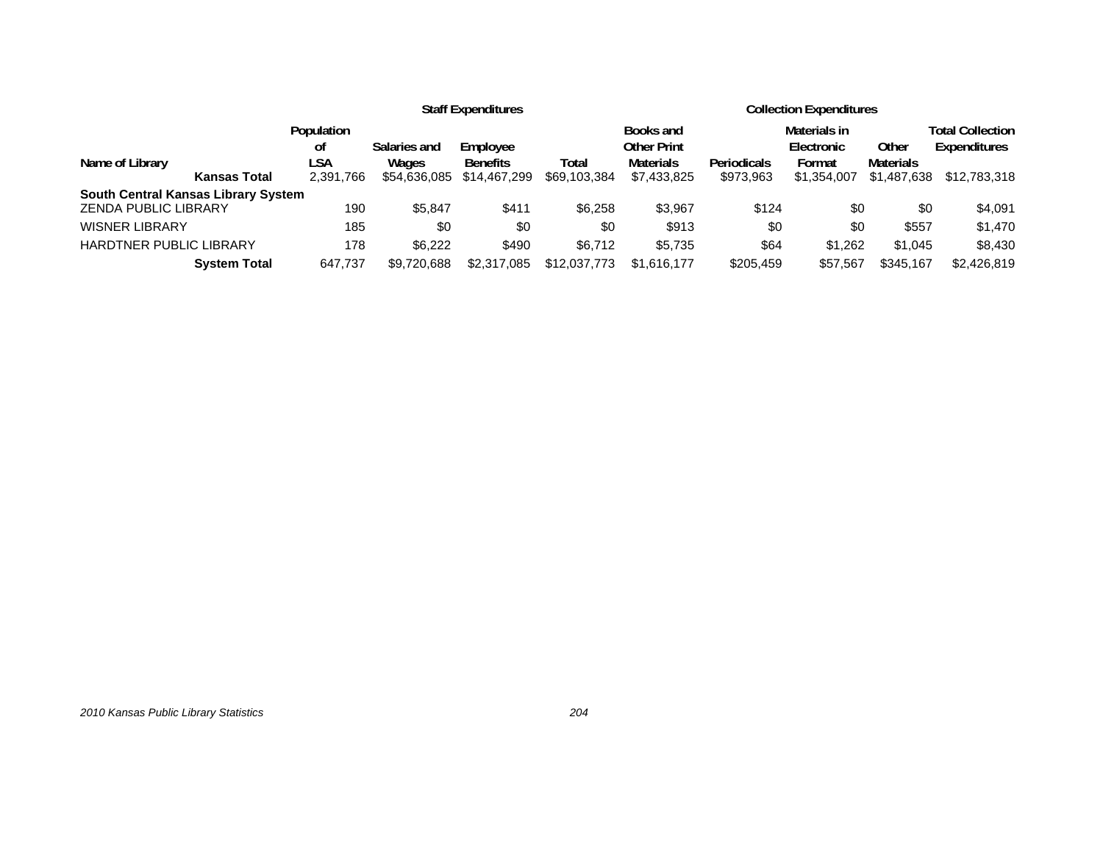|                                            | <b>Staff Expenditures</b> |              |                 |              | <b>Collection Expenditures</b> |                    |              |                  |                         |
|--------------------------------------------|---------------------------|--------------|-----------------|--------------|--------------------------------|--------------------|--------------|------------------|-------------------------|
|                                            | Population                |              |                 |              | Books and                      |                    | Materials in |                  | <b>Total Collection</b> |
|                                            | οt                        | Salaries and | Employee        |              | Other Print                    |                    | Electronic   | Other            | Expenditures            |
| Name of Library                            | LSA                       | Wages        | <b>Benefits</b> | Total        | <b>Materials</b>               | <b>Periodicals</b> | Format       | <b>Materials</b> |                         |
| <b>Kansas Total</b>                        | 2,391,766                 | \$54,636,085 | \$14,467,299    | \$69,103,384 | \$7,433,825                    | \$973,963          | \$1,354,007  | \$1,487,638      | \$12,783,318            |
| <b>South Central Kansas Library System</b> |                           |              |                 |              |                                |                    |              |                  |                         |
| <b>ZENDA PUBLIC LIBRARY</b>                | 190                       | \$5.847      | \$411           | \$6,258      | \$3,967                        | \$124              | \$0          | \$0              | \$4,091                 |
| <b>WISNER LIBRARY</b>                      | 185                       | \$0          | \$0             | \$0          | \$913                          | \$0                | \$0          | \$557            | \$1,470                 |
| <b>HARDTNER PUBLIC LIBRARY</b>             | 178                       | \$6.222      | \$490           | \$6,712      | \$5,735                        | \$64               | \$1,262      | \$1,045          | \$8,430                 |
| <b>System Total</b>                        | 647.737                   | \$9.720.688  | \$2,317,085     | \$12,037,773 | \$1.616.177                    | \$205,459          | \$57.567     | \$345,167        | \$2,426,819             |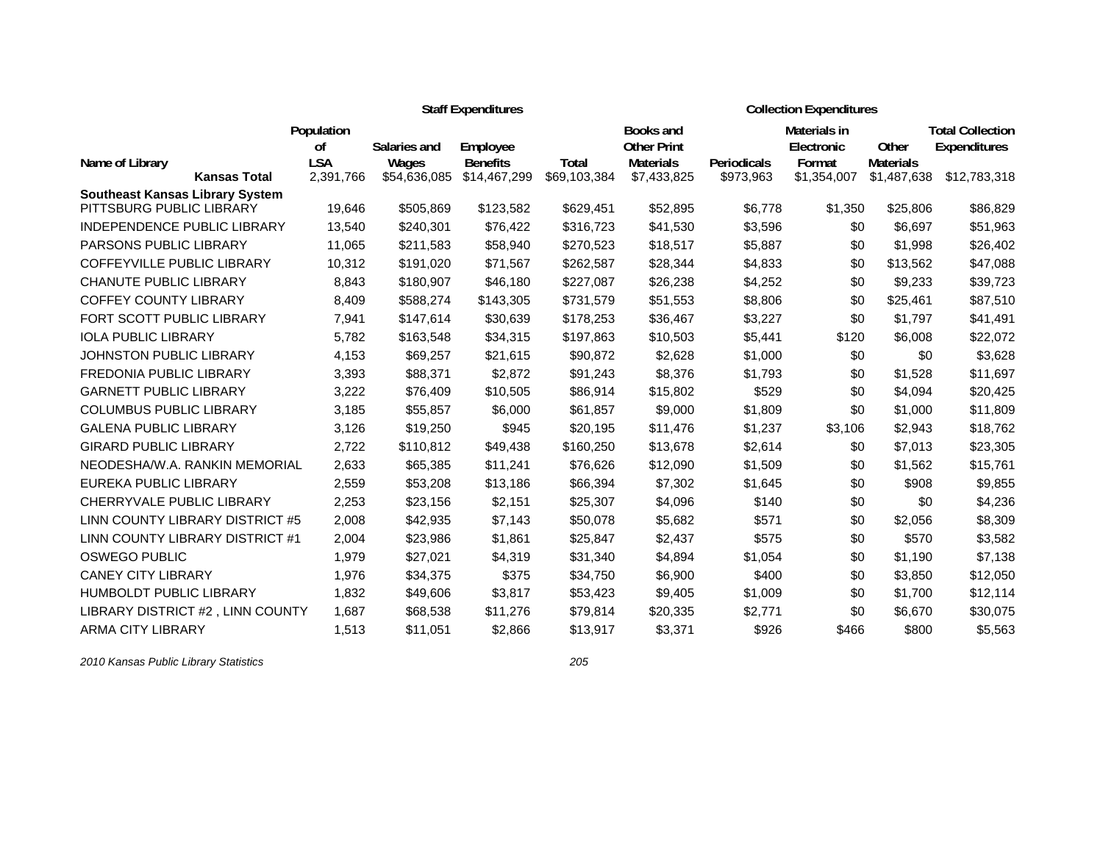|                                                                    |                             |              | <b>Staff Expenditures</b> |              | <b>Collection Expenditures</b>         |             |                            |                  |                                                |  |
|--------------------------------------------------------------------|-----------------------------|--------------|---------------------------|--------------|----------------------------------------|-------------|----------------------------|------------------|------------------------------------------------|--|
|                                                                    | Population<br><sub>of</sub> | Salaries and | Employee                  |              | <b>Books and</b><br><b>Other Print</b> |             | Materials in<br>Electronic | Other            | <b>Total Collection</b><br><b>Expenditures</b> |  |
| Name of Library                                                    | <b>LSA</b>                  | Wages        | <b>Benefits</b>           | Total        | <b>Materials</b>                       | Periodicals | Format                     | <b>Materials</b> |                                                |  |
| <b>Kansas Total</b>                                                | 2,391,766                   | \$54,636,085 | \$14,467,299              | \$69,103,384 | \$7,433,825                            | \$973,963   | \$1,354,007                | \$1,487,638      | \$12,783,318                                   |  |
| <b>Southeast Kansas Library System</b><br>PITTSBURG PUBLIC LIBRARY | 19,646                      | \$505,869    | \$123,582                 | \$629,451    | \$52,895                               | \$6,778     | \$1,350                    | \$25,806         | \$86,829                                       |  |
| <b>INDEPENDENCE PUBLIC LIBRARY</b>                                 | 13,540                      | \$240,301    | \$76,422                  | \$316,723    | \$41,530                               | \$3,596     | \$0                        | \$6,697          | \$51,963                                       |  |
| PARSONS PUBLIC LIBRARY                                             | 11,065                      | \$211,583    | \$58,940                  | \$270,523    | \$18,517                               | \$5,887     | \$0                        | \$1,998          | \$26,402                                       |  |
| COFFEYVILLE PUBLIC LIBRARY                                         | 10,312                      | \$191,020    | \$71,567                  | \$262,587    | \$28,344                               | \$4,833     | \$0                        | \$13,562         | \$47,088                                       |  |
| <b>CHANUTE PUBLIC LIBRARY</b>                                      | 8,843                       | \$180,907    | \$46,180                  | \$227,087    | \$26,238                               | \$4,252     | \$0                        | \$9,233          | \$39,723                                       |  |
| <b>COFFEY COUNTY LIBRARY</b>                                       | 8,409                       | \$588,274    | \$143,305                 | \$731,579    | \$51,553                               | \$8,806     | \$0                        | \$25,461         | \$87,510                                       |  |
| <b>FORT SCOTT PUBLIC LIBRARY</b>                                   | 7,941                       | \$147,614    | \$30,639                  | \$178,253    | \$36,467                               | \$3,227     | \$0                        | \$1,797          | \$41,491                                       |  |
| <b>IOLA PUBLIC LIBRARY</b>                                         | 5,782                       | \$163,548    | \$34,315                  | \$197,863    | \$10,503                               | \$5,441     | \$120                      | \$6,008          | \$22,072                                       |  |
| <b>JOHNSTON PUBLIC LIBRARY</b>                                     | 4,153                       | \$69,257     | \$21,615                  | \$90,872     | \$2,628                                | \$1,000     | \$0                        | \$0              | \$3,628                                        |  |
| FREDONIA PUBLIC LIBRARY                                            | 3,393                       | \$88,371     | \$2,872                   | \$91,243     | \$8,376                                | \$1,793     | \$0                        | \$1,528          | \$11,697                                       |  |
| <b>GARNETT PUBLIC LIBRARY</b>                                      | 3,222                       | \$76,409     | \$10,505                  | \$86,914     | \$15,802                               | \$529       | \$0                        | \$4,094          | \$20,425                                       |  |
| <b>COLUMBUS PUBLIC LIBRARY</b>                                     | 3,185                       | \$55,857     | \$6,000                   | \$61,857     | \$9,000                                | \$1,809     | \$0                        | \$1,000          | \$11,809                                       |  |
| <b>GALENA PUBLIC LIBRARY</b>                                       | 3,126                       | \$19,250     | \$945                     | \$20,195     | \$11,476                               | \$1,237     | \$3,106                    | \$2,943          | \$18,762                                       |  |
| <b>GIRARD PUBLIC LIBRARY</b>                                       | 2,722                       | \$110,812    | \$49,438                  | \$160,250    | \$13,678                               | \$2,614     | \$0                        | \$7,013          | \$23,305                                       |  |
| NEODESHA/W.A. RANKIN MEMORIAL                                      | 2,633                       | \$65,385     | \$11,241                  | \$76,626     | \$12,090                               | \$1,509     | \$0                        | \$1,562          | \$15,761                                       |  |
| EUREKA PUBLIC LIBRARY                                              | 2,559                       | \$53,208     | \$13,186                  | \$66,394     | \$7,302                                | \$1,645     | \$0                        | \$908            | \$9,855                                        |  |
| CHERRYVALE PUBLIC LIBRARY                                          | 2,253                       | \$23,156     | \$2,151                   | \$25,307     | \$4,096                                | \$140       | \$0                        | \$0              | \$4,236                                        |  |
| LINN COUNTY LIBRARY DISTRICT #5                                    | 2,008                       | \$42,935     | \$7,143                   | \$50,078     | \$5,682                                | \$571       | \$0                        | \$2,056          | \$8,309                                        |  |
| LINN COUNTY LIBRARY DISTRICT #1                                    | 2,004                       | \$23,986     | \$1,861                   | \$25,847     | \$2,437                                | \$575       | \$0                        | \$570            | \$3,582                                        |  |
| <b>OSWEGO PUBLIC</b>                                               | 1,979                       | \$27,021     | \$4,319                   | \$31,340     | \$4,894                                | \$1,054     | \$0                        | \$1,190          | \$7,138                                        |  |
| <b>CANEY CITY LIBRARY</b>                                          | 1,976                       | \$34,375     | \$375                     | \$34,750     | \$6,900                                | \$400       | \$0                        | \$3,850          | \$12,050                                       |  |
| <b>HUMBOLDT PUBLIC LIBRARY</b>                                     | 1,832                       | \$49,606     | \$3,817                   | \$53,423     | \$9,405                                | \$1,009     | \$0                        | \$1,700          | \$12,114                                       |  |
| LIBRARY DISTRICT #2, LINN COUNTY                                   | 1,687                       | \$68,538     | \$11,276                  | \$79,814     | \$20,335                               | \$2,771     | \$0                        | \$6,670          | \$30,075                                       |  |
| <b>ARMA CITY LIBRARY</b>                                           | 1,513                       | \$11,051     | \$2,866                   | \$13,917     | \$3,371                                | \$926       | \$466                      | \$800            | \$5,563                                        |  |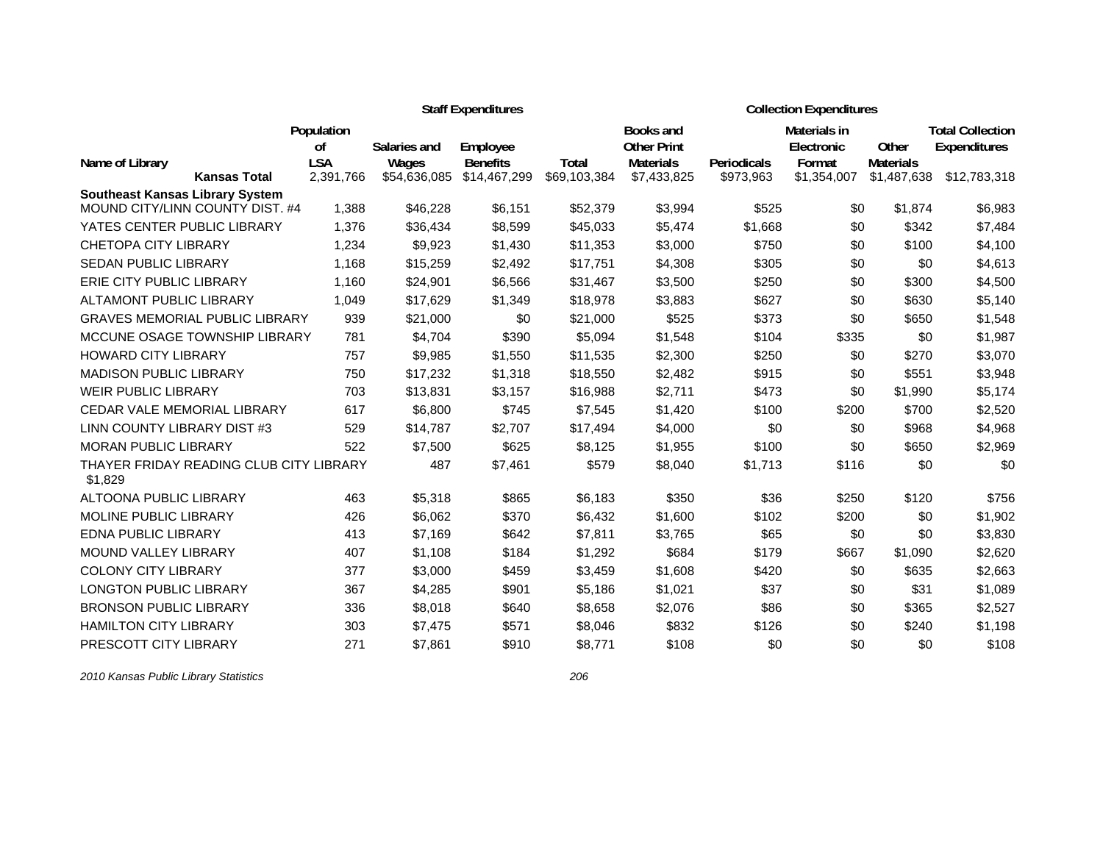|                                                    | <b>Staff Expenditures</b> |                       |                                 |                              |                                        | <b>Collection Expenditures</b> |                            |                                 |                                                |  |
|----------------------------------------------------|---------------------------|-----------------------|---------------------------------|------------------------------|----------------------------------------|--------------------------------|----------------------------|---------------------------------|------------------------------------------------|--|
|                                                    | Population<br>οf          | Salaries and          | Employee                        |                              | <b>Books and</b><br><b>Other Print</b> |                                | Materials in<br>Electronic | Other                           | <b>Total Collection</b><br><b>Expenditures</b> |  |
| Name of Library<br><b>Kansas Total</b>             | <b>LSA</b><br>2,391,766   | Wages<br>\$54,636,085 | <b>Benefits</b><br>\$14,467,299 | <b>Total</b><br>\$69,103,384 | <b>Materials</b><br>\$7,433,825        | Periodicals<br>\$973,963       | Format<br>\$1,354,007      | <b>Materials</b><br>\$1,487,638 | \$12,783,318                                   |  |
| <b>Southeast Kansas Library System</b>             |                           |                       |                                 |                              |                                        |                                |                            |                                 |                                                |  |
| MOUND CITY/LINN COUNTY DIST. #4                    | 1,388                     | \$46,228              | \$6,151                         | \$52,379                     | \$3,994                                | \$525                          | \$0                        | \$1,874                         | \$6,983                                        |  |
| YATES CENTER PUBLIC LIBRARY                        | 1,376                     | \$36,434              | \$8,599                         | \$45,033                     | \$5,474                                | \$1,668                        | \$0                        | \$342                           | \$7,484                                        |  |
| <b>CHETOPA CITY LIBRARY</b>                        | 1,234                     | \$9,923               | \$1,430                         | \$11,353                     | \$3,000                                | \$750                          | \$0                        | \$100                           | \$4,100                                        |  |
| SEDAN PUBLIC LIBRARY                               | 1,168                     | \$15,259              | \$2,492                         | \$17,751                     | \$4,308                                | \$305                          | \$0                        | \$0                             | \$4,613                                        |  |
| ERIE CITY PUBLIC LIBRARY                           | 1,160                     | \$24,901              | \$6,566                         | \$31,467                     | \$3,500                                | \$250                          | \$0                        | \$300                           | \$4,500                                        |  |
| <b>ALTAMONT PUBLIC LIBRARY</b>                     | 1,049                     | \$17,629              | \$1,349                         | \$18,978                     | \$3,883                                | \$627                          | \$0                        | \$630                           | \$5,140                                        |  |
| <b>GRAVES MEMORIAL PUBLIC LIBRARY</b>              | 939                       | \$21,000              | \$0                             | \$21,000                     | \$525                                  | \$373                          | \$0                        | \$650                           | \$1,548                                        |  |
| MCCUNE OSAGE TOWNSHIP LIBRARY                      | 781                       | \$4,704               | \$390                           | \$5,094                      | \$1,548                                | \$104                          | \$335                      | \$0                             | \$1,987                                        |  |
| <b>HOWARD CITY LIBRARY</b>                         | 757                       | \$9,985               | \$1,550                         | \$11,535                     | \$2,300                                | \$250                          | \$0                        | \$270                           | \$3,070                                        |  |
| <b>MADISON PUBLIC LIBRARY</b>                      | 750                       | \$17,232              | \$1,318                         | \$18,550                     | \$2,482                                | \$915                          | \$0                        | \$551                           | \$3,948                                        |  |
| <b>WEIR PUBLIC LIBRARY</b>                         | 703                       | \$13,831              | \$3,157                         | \$16,988                     | \$2,711                                | \$473                          | \$0                        | \$1,990                         | \$5,174                                        |  |
| <b>CEDAR VALE MEMORIAL LIBRARY</b>                 | 617                       | \$6,800               | \$745                           | \$7,545                      | \$1,420                                | \$100                          | \$200                      | \$700                           | \$2,520                                        |  |
| LINN COUNTY LIBRARY DIST #3                        | 529                       | \$14,787              | \$2,707                         | \$17,494                     | \$4,000                                | \$0                            | \$0                        | \$968                           | \$4,968                                        |  |
| MORAN PUBLIC LIBRARY                               | 522                       | \$7,500               | \$625                           | \$8,125                      | \$1,955                                | \$100                          | \$0                        | \$650                           | \$2,969                                        |  |
| THAYER FRIDAY READING CLUB CITY LIBRARY<br>\$1,829 |                           | 487                   | \$7,461                         | \$579                        | \$8,040                                | \$1,713                        | \$116                      | \$0                             | \$0                                            |  |
| <b>ALTOONA PUBLIC LIBRARY</b>                      | 463                       | \$5,318               | \$865                           | \$6,183                      | \$350                                  | \$36                           | \$250                      | \$120                           | \$756                                          |  |
| MOLINE PUBLIC LIBRARY                              | 426                       | \$6,062               | \$370                           | \$6,432                      | \$1,600                                | \$102                          | \$200                      | \$0                             | \$1,902                                        |  |
| <b>EDNA PUBLIC LIBRARY</b>                         | 413                       | \$7,169               | \$642                           | \$7,811                      | \$3,765                                | \$65                           | \$0                        | \$0                             | \$3,830                                        |  |
| <b>MOUND VALLEY LIBRARY</b>                        | 407                       | \$1,108               | \$184                           | \$1,292                      | \$684                                  | \$179                          | \$667                      | \$1,090                         | \$2,620                                        |  |
| <b>COLONY CITY LIBRARY</b>                         | 377                       | \$3,000               | \$459                           | \$3,459                      | \$1,608                                | \$420                          | \$0                        | \$635                           | \$2,663                                        |  |
| LONGTON PUBLIC LIBRARY                             | 367                       | \$4,285               | \$901                           | \$5,186                      | \$1,021                                | \$37                           | \$0                        | \$31                            | \$1,089                                        |  |
| <b>BRONSON PUBLIC LIBRARY</b>                      | 336                       | \$8,018               | \$640                           | \$8,658                      | \$2,076                                | \$86                           | \$0                        | \$365                           | \$2,527                                        |  |
| <b>HAMILTON CITY LIBRARY</b>                       | 303                       | \$7,475               | \$571                           | \$8,046                      | \$832                                  | \$126                          | \$0                        | \$240                           | \$1,198                                        |  |
| PRESCOTT CITY LIBRARY                              | 271                       | \$7,861               | \$910                           | \$8,771                      | \$108                                  | \$0                            | \$0                        | \$0                             | \$108                                          |  |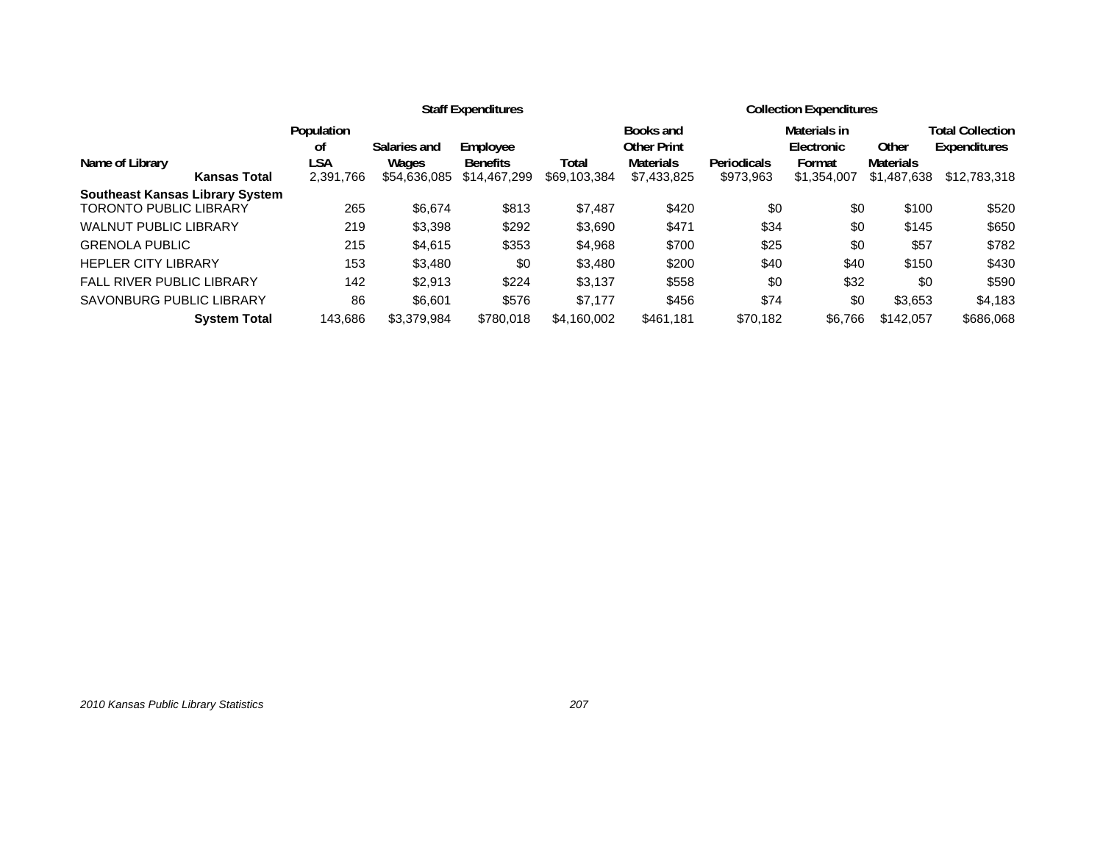|                                        |                         | <b>Staff Expenditures</b> |                             |              |                                                     | <b>Collection Expenditures</b> |                                      |                           |                                                |  |
|----------------------------------------|-------------------------|---------------------------|-----------------------------|--------------|-----------------------------------------------------|--------------------------------|--------------------------------------|---------------------------|------------------------------------------------|--|
| Name of Library                        | Population<br>οf<br>LSA | Salaries and<br>Wages     | Employee<br><b>Benefits</b> | Total        | Books and<br><b>Other Print</b><br><b>Materials</b> | Periodicals                    | Materials in<br>Electronic<br>Format | Other<br><b>Materials</b> | <b>Total Collection</b><br><b>Expenditures</b> |  |
| <b>Kansas Total</b>                    | 2,391,766               | \$54,636,085              | \$14,467,299                | \$69,103,384 | \$7,433,825                                         | \$973,963                      | \$1,354,007                          | \$1,487,638               | \$12,783,318                                   |  |
| <b>Southeast Kansas Library System</b> |                         |                           |                             |              |                                                     |                                |                                      |                           |                                                |  |
| <b>TORONTO PUBLIC LIBRARY</b>          | 265                     | \$6,674                   | \$813                       | \$7,487      | \$420                                               | \$0                            | \$0                                  | \$100                     | \$520                                          |  |
| <b>WALNUT PUBLIC LIBRARY</b>           | 219                     | \$3,398                   | \$292                       | \$3,690      | \$471                                               | \$34                           | \$0                                  | \$145                     | \$650                                          |  |
| <b>GRENOLA PUBLIC</b>                  | 215                     | \$4,615                   | \$353                       | \$4,968      | \$700                                               | \$25                           | \$0                                  | \$57                      | \$782                                          |  |
| <b>HEPLER CITY LIBRARY</b>             | 153                     | \$3,480                   | \$0                         | \$3,480      | \$200                                               | \$40                           | \$40                                 | \$150                     | \$430                                          |  |
| <b>FALL RIVER PUBLIC LIBRARY</b>       | 142                     | \$2.913                   | \$224                       | \$3,137      | \$558                                               | \$0                            | \$32                                 | \$0                       | \$590                                          |  |
| <b>SAVONBURG PUBLIC LIBRARY</b>        | 86                      | \$6.601                   | \$576                       | \$7,177      | \$456                                               | \$74                           | \$0                                  | \$3,653                   | \$4,183                                        |  |
| <b>System Total</b>                    | 143.686                 | \$3.379.984               | \$780.018                   | \$4.160.002  | \$461,181                                           | \$70,182                       | \$6,766                              | \$142,057                 | \$686,068                                      |  |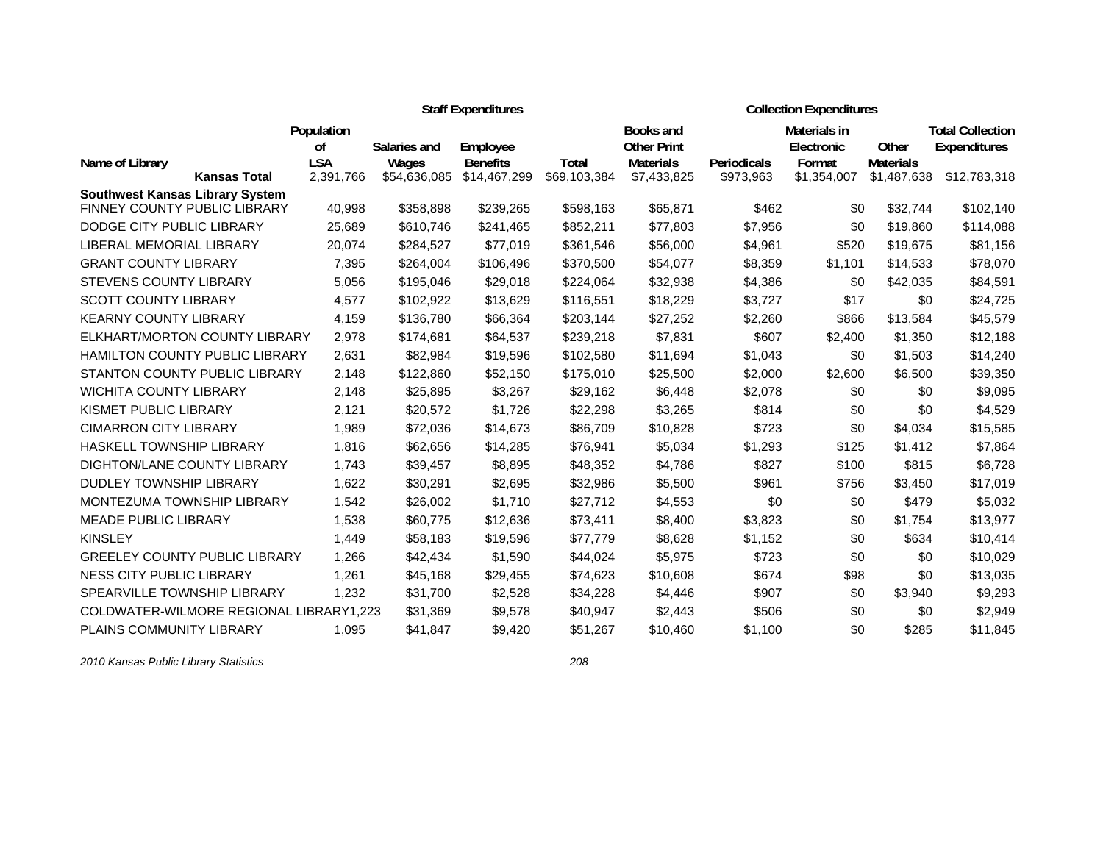|                                        |                                         | <b>Staff Expenditures</b> |              |                 |                  |                    |              | <b>Collection Expenditures</b> |                         |                     |  |  |  |
|----------------------------------------|-----------------------------------------|---------------------------|--------------|-----------------|------------------|--------------------|--------------|--------------------------------|-------------------------|---------------------|--|--|--|
|                                        | Population                              |                           |              |                 | <b>Books and</b> |                    | Materials in |                                | <b>Total Collection</b> |                     |  |  |  |
|                                        |                                         | <sub>of</sub>             | Salaries and | Employee        |                  | <b>Other Print</b> |              | Electronic                     | Other                   | <b>Expenditures</b> |  |  |  |
| Name of Library                        |                                         | <b>LSA</b>                | Wages        | <b>Benefits</b> | Total            | <b>Materials</b>   | Periodicals  | Format                         | <b>Materials</b>        |                     |  |  |  |
|                                        | <b>Kansas Total</b>                     | 2,391,766                 | \$54,636,085 | \$14,467,299    | \$69,103,384     | \$7,433,825        | \$973,963    | \$1,354,007                    | \$1,487,638             | \$12,783,318        |  |  |  |
| <b>Southwest Kansas Library System</b> | FINNEY COUNTY PUBLIC LIBRARY            | 40,998                    | \$358,898    | \$239,265       | \$598,163        | \$65,871           | \$462        | \$0                            | \$32,744                | \$102,140           |  |  |  |
| DODGE CITY PUBLIC LIBRARY              |                                         | 25,689                    | \$610,746    | \$241,465       | \$852,211        | \$77,803           | \$7,956      | \$0                            | \$19,860                | \$114,088           |  |  |  |
| LIBERAL MEMORIAL LIBRARY               |                                         | 20,074                    | \$284,527    | \$77,019        | \$361,546        | \$56,000           | \$4,961      | \$520                          | \$19,675                | \$81,156            |  |  |  |
| <b>GRANT COUNTY LIBRARY</b>            |                                         | 7,395                     | \$264,004    | \$106,496       | \$370,500        | \$54,077           | \$8,359      | \$1,101                        | \$14,533                | \$78,070            |  |  |  |
| <b>STEVENS COUNTY LIBRARY</b>          |                                         | 5,056                     | \$195,046    | \$29,018        | \$224,064        | \$32,938           | \$4,386      | \$0                            | \$42,035                | \$84,591            |  |  |  |
| <b>SCOTT COUNTY LIBRARY</b>            |                                         | 4,577                     | \$102,922    | \$13,629        | \$116,551        | \$18,229           | \$3,727      | \$17                           | \$0                     | \$24,725            |  |  |  |
| <b>KEARNY COUNTY LIBRARY</b>           |                                         | 4,159                     | \$136,780    | \$66,364        | \$203,144        | \$27,252           | \$2,260      | \$866                          | \$13,584                | \$45,579            |  |  |  |
|                                        | ELKHART/MORTON COUNTY LIBRARY           | 2,978                     | \$174,681    | \$64,537        | \$239,218        | \$7,831            | \$607        | \$2,400                        | \$1,350                 | \$12,188            |  |  |  |
|                                        | <b>HAMILTON COUNTY PUBLIC LIBRARY</b>   | 2,631                     | \$82,984     | \$19,596        | \$102,580        | \$11,694           | \$1,043      | \$0                            | \$1,503                 | \$14,240            |  |  |  |
|                                        | STANTON COUNTY PUBLIC LIBRARY           | 2,148                     | \$122,860    | \$52,150        | \$175,010        | \$25,500           | \$2,000      | \$2,600                        | \$6,500                 | \$39,350            |  |  |  |
| <b>WICHITA COUNTY LIBRARY</b>          |                                         | 2,148                     | \$25,895     | \$3,267         | \$29,162         | \$6,448            | \$2,078      | \$0                            | \$0                     | \$9,095             |  |  |  |
| KISMET PUBLIC LIBRARY                  |                                         | 2,121                     | \$20,572     | \$1,726         | \$22,298         | \$3,265            | \$814        | \$0                            | \$0                     | \$4,529             |  |  |  |
| <b>CIMARRON CITY LIBRARY</b>           |                                         | 1,989                     | \$72,036     | \$14,673        | \$86,709         | \$10,828           | \$723        | \$0                            | \$4,034                 | \$15,585            |  |  |  |
| <b>HASKELL TOWNSHIP LIBRARY</b>        |                                         | 1,816                     | \$62,656     | \$14,285        | \$76,941         | \$5,034            | \$1,293      | \$125                          | \$1,412                 | \$7,864             |  |  |  |
| DIGHTON/LANE COUNTY LIBRARY            |                                         | 1.743                     | \$39,457     | \$8,895         | \$48,352         | \$4,786            | \$827        | \$100                          | \$815                   | \$6,728             |  |  |  |
| <b>DUDLEY TOWNSHIP LIBRARY</b>         |                                         | 1,622                     | \$30,291     | \$2,695         | \$32,986         | \$5,500            | \$961        | \$756                          | \$3,450                 | \$17,019            |  |  |  |
|                                        | MONTEZUMA TOWNSHIP LIBRARY              | 1,542                     | \$26,002     | \$1,710         | \$27,712         | \$4,553            | \$0          | \$0                            | \$479                   | \$5,032             |  |  |  |
| <b>MEADE PUBLIC LIBRARY</b>            |                                         | 1,538                     | \$60,775     | \$12,636        | \$73,411         | \$8,400            | \$3,823      | \$0                            | \$1,754                 | \$13,977            |  |  |  |
| <b>KINSLEY</b>                         |                                         | 1,449                     | \$58,183     | \$19,596        | \$77,779         | \$8,628            | \$1,152      | \$0                            | \$634                   | \$10,414            |  |  |  |
|                                        | <b>GREELEY COUNTY PUBLIC LIBRARY</b>    | 1,266                     | \$42,434     | \$1,590         | \$44,024         | \$5,975            | \$723        | \$0                            | \$0                     | \$10,029            |  |  |  |
| NESS CITY PUBLIC LIBRARY               |                                         | 1,261                     | \$45,168     | \$29,455        | \$74,623         | \$10,608           | \$674        | \$98                           | \$0                     | \$13,035            |  |  |  |
| SPEARVILLE TOWNSHIP LIBRARY            |                                         | 1.232                     | \$31,700     | \$2,528         | \$34,228         | \$4,446            | \$907        | \$0                            | \$3,940                 | \$9,293             |  |  |  |
|                                        | COLDWATER-WILMORE REGIONAL LIBRARY1,223 |                           | \$31,369     | \$9,578         | \$40,947         | \$2,443            | \$506        | \$0                            | \$0                     | \$2,949             |  |  |  |
| <b>PLAINS COMMUNITY LIBRARY</b>        |                                         | 1,095                     | \$41,847     | \$9,420         | \$51,267         | \$10,460           | \$1,100      | \$0                            | \$285                   | \$11,845            |  |  |  |